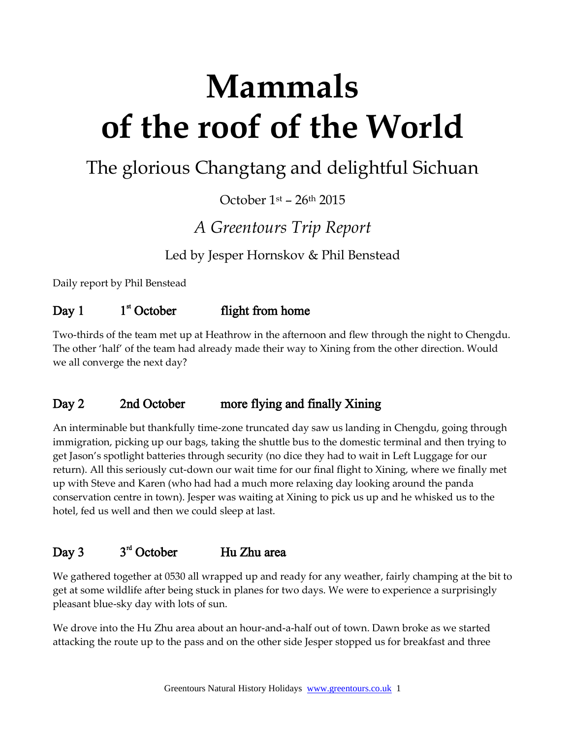# **Mammals of the roof of the World**

# The glorious Changtang and delightful Sichuan

October 1st – 26th 2015

# *A Greentours Trip Report*

Led by Jesper Hornskov & Phil Benstead

Daily report by Phil Benstead

#### Day  $1$  $1<sup>st</sup>$  October flight from home

Two-thirds of the team met up at Heathrow in the afternoon and flew through the night to Chengdu. The other 'half' of the team had already made their way to Xining from the other direction. Would we all converge the next day?

### Day 2 2nd October more flying and finally Xining

An interminable but thankfully time-zone truncated day saw us landing in Chengdu, going through immigration, picking up our bags, taking the shuttle bus to the domestic terminal and then trying to get Jason's spotlight batteries through security (no dice they had to wait in Left Luggage for our return). All this seriously cut-down our wait time for our final flight to Xining, where we finally met up with Steve and Karen (who had had a much more relaxing day looking around the panda conservation centre in town). Jesper was waiting at Xining to pick us up and he whisked us to the hotel, fed us well and then we could sleep at last.

#### Day 3  $3<sup>rd</sup>$  October Hu Zhu area

We gathered together at 0530 all wrapped up and ready for any weather, fairly champing at the bit to get at some wildlife after being stuck in planes for two days. We were to experience a surprisingly pleasant blue-sky day with lots of sun.

We drove into the Hu Zhu area about an hour-and-a-half out of town. Dawn broke as we started attacking the route up to the pass and on the other side Jesper stopped us for breakfast and three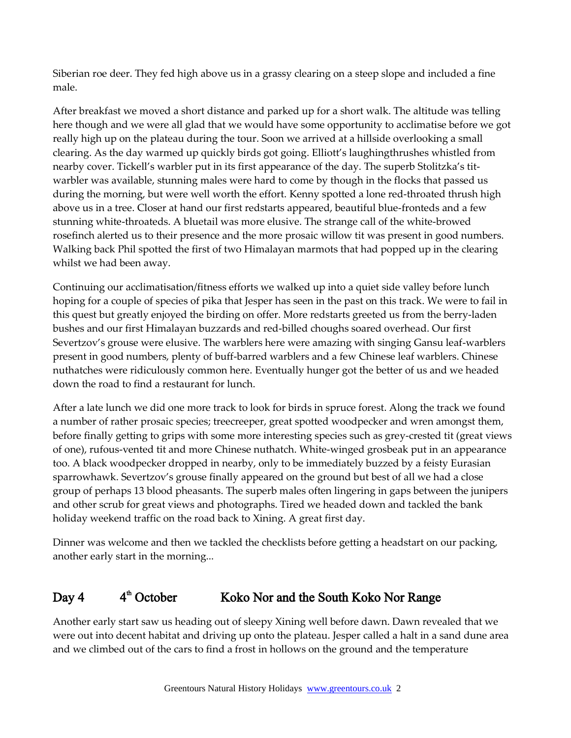Siberian roe deer. They fed high above us in a grassy clearing on a steep slope and included a fine male.

After breakfast we moved a short distance and parked up for a short walk. The altitude was telling here though and we were all glad that we would have some opportunity to acclimatise before we got really high up on the plateau during the tour. Soon we arrived at a hillside overlooking a small clearing. As the day warmed up quickly birds got going. Elliott's laughingthrushes whistled from nearby cover. Tickell's warbler put in its first appearance of the day. The superb Stolitzka's titwarbler was available, stunning males were hard to come by though in the flocks that passed us during the morning, but were well worth the effort. Kenny spotted a lone red-throated thrush high above us in a tree. Closer at hand our first redstarts appeared, beautiful blue-fronteds and a few stunning white-throateds. A bluetail was more elusive. The strange call of the white-browed rosefinch alerted us to their presence and the more prosaic willow tit was present in good numbers. Walking back Phil spotted the first of two Himalayan marmots that had popped up in the clearing whilst we had been away.

Continuing our acclimatisation/fitness efforts we walked up into a quiet side valley before lunch hoping for a couple of species of pika that Jesper has seen in the past on this track. We were to fail in this quest but greatly enjoyed the birding on offer. More redstarts greeted us from the berry-laden bushes and our first Himalayan buzzards and red-billed choughs soared overhead. Our first Severtzov's grouse were elusive. The warblers here were amazing with singing Gansu leaf-warblers present in good numbers, plenty of buff-barred warblers and a few Chinese leaf warblers. Chinese nuthatches were ridiculously common here. Eventually hunger got the better of us and we headed down the road to find a restaurant for lunch.

After a late lunch we did one more track to look for birds in spruce forest. Along the track we found a number of rather prosaic species; treecreeper, great spotted woodpecker and wren amongst them, before finally getting to grips with some more interesting species such as grey-crested tit (great views of one), rufous-vented tit and more Chinese nuthatch. White-winged grosbeak put in an appearance too. A black woodpecker dropped in nearby, only to be immediately buzzed by a feisty Eurasian sparrowhawk. Severtzov's grouse finally appeared on the ground but best of all we had a close group of perhaps 13 blood pheasants. The superb males often lingering in gaps between the junipers and other scrub for great views and photographs. Tired we headed down and tackled the bank holiday weekend traffic on the road back to Xining. A great first day.

Dinner was welcome and then we tackled the checklists before getting a headstart on our packing, another early start in the morning...

#### Day 4  $4<sup>th</sup>$  October Koko Nor and the South Koko Nor Range

Another early start saw us heading out of sleepy Xining well before dawn. Dawn revealed that we were out into decent habitat and driving up onto the plateau. Jesper called a halt in a sand dune area and we climbed out of the cars to find a frost in hollows on the ground and the temperature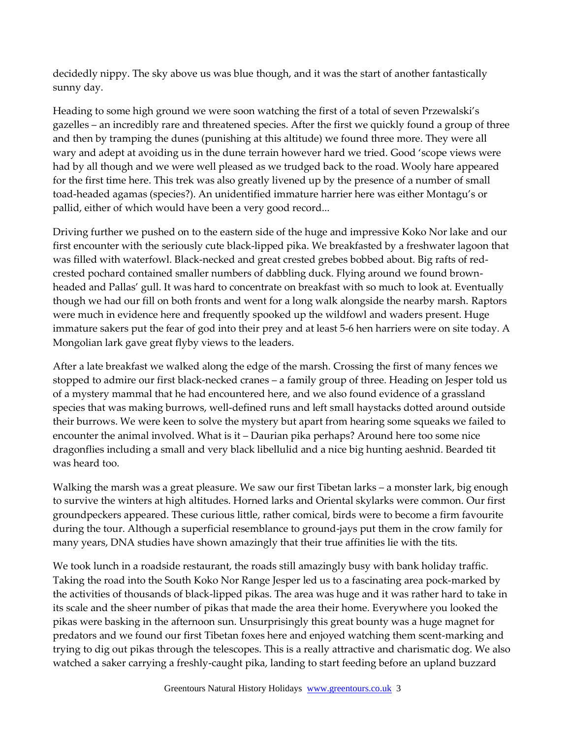decidedly nippy. The sky above us was blue though, and it was the start of another fantastically sunny day.

Heading to some high ground we were soon watching the first of a total of seven Przewalski's gazelles – an incredibly rare and threatened species. After the first we quickly found a group of three and then by tramping the dunes (punishing at this altitude) we found three more. They were all wary and adept at avoiding us in the dune terrain however hard we tried. Good 'scope views were had by all though and we were well pleased as we trudged back to the road. Wooly hare appeared for the first time here. This trek was also greatly livened up by the presence of a number of small toad-headed agamas (species?). An unidentified immature harrier here was either Montagu's or pallid, either of which would have been a very good record...

Driving further we pushed on to the eastern side of the huge and impressive Koko Nor lake and our first encounter with the seriously cute black-lipped pika. We breakfasted by a freshwater lagoon that was filled with waterfowl. Black-necked and great crested grebes bobbed about. Big rafts of redcrested pochard contained smaller numbers of dabbling duck. Flying around we found brownheaded and Pallas' gull. It was hard to concentrate on breakfast with so much to look at. Eventually though we had our fill on both fronts and went for a long walk alongside the nearby marsh. Raptors were much in evidence here and frequently spooked up the wildfowl and waders present. Huge immature sakers put the fear of god into their prey and at least 5-6 hen harriers were on site today. A Mongolian lark gave great flyby views to the leaders.

After a late breakfast we walked along the edge of the marsh. Crossing the first of many fences we stopped to admire our first black-necked cranes – a family group of three. Heading on Jesper told us of a mystery mammal that he had encountered here, and we also found evidence of a grassland species that was making burrows, well-defined runs and left small haystacks dotted around outside their burrows. We were keen to solve the mystery but apart from hearing some squeaks we failed to encounter the animal involved. What is it – Daurian pika perhaps? Around here too some nice dragonflies including a small and very black libellulid and a nice big hunting aeshnid. Bearded tit was heard too.

Walking the marsh was a great pleasure. We saw our first Tibetan larks – a monster lark, big enough to survive the winters at high altitudes. Horned larks and Oriental skylarks were common. Our first groundpeckers appeared. These curious little, rather comical, birds were to become a firm favourite during the tour. Although a superficial resemblance to ground-jays put them in the crow family for many years, DNA studies have shown amazingly that their true affinities lie with the tits.

We took lunch in a roadside restaurant, the roads still amazingly busy with bank holiday traffic. Taking the road into the South Koko Nor Range Jesper led us to a fascinating area pock-marked by the activities of thousands of black-lipped pikas. The area was huge and it was rather hard to take in its scale and the sheer number of pikas that made the area their home. Everywhere you looked the pikas were basking in the afternoon sun. Unsurprisingly this great bounty was a huge magnet for predators and we found our first Tibetan foxes here and enjoyed watching them scent-marking and trying to dig out pikas through the telescopes. This is a really attractive and charismatic dog. We also watched a saker carrying a freshly-caught pika, landing to start feeding before an upland buzzard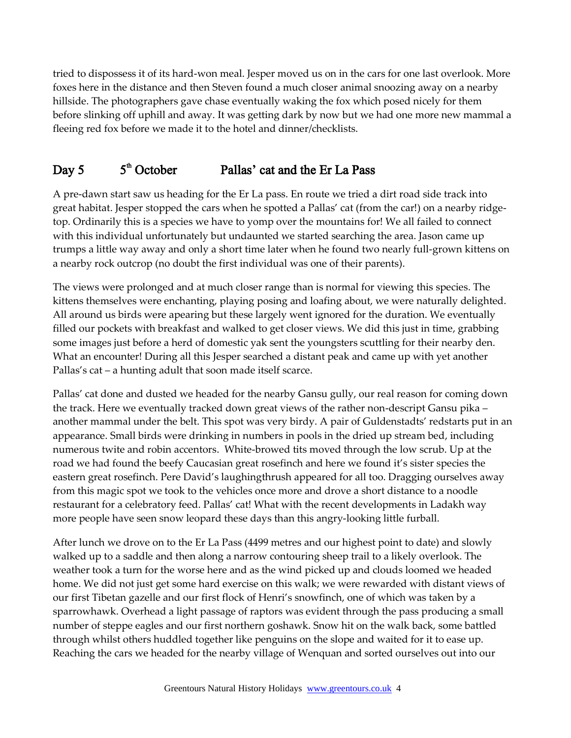tried to dispossess it of its hard-won meal. Jesper moved us on in the cars for one last overlook. More foxes here in the distance and then Steven found a much closer animal snoozing away on a nearby hillside. The photographers gave chase eventually waking the fox which posed nicely for them before slinking off uphill and away. It was getting dark by now but we had one more new mammal a fleeing red fox before we made it to the hotel and dinner/checklists.

#### Day  $5$  $5<sup>th</sup>$  October Pallas' cat and the Er La Pass

A pre-dawn start saw us heading for the Er La pass. En route we tried a dirt road side track into great habitat. Jesper stopped the cars when he spotted a Pallas' cat (from the car!) on a nearby ridgetop. Ordinarily this is a species we have to yomp over the mountains for! We all failed to connect with this individual unfortunately but undaunted we started searching the area. Jason came up trumps a little way away and only a short time later when he found two nearly full-grown kittens on a nearby rock outcrop (no doubt the first individual was one of their parents).

The views were prolonged and at much closer range than is normal for viewing this species. The kittens themselves were enchanting, playing posing and loafing about, we were naturally delighted. All around us birds were apearing but these largely went ignored for the duration. We eventually filled our pockets with breakfast and walked to get closer views. We did this just in time, grabbing some images just before a herd of domestic yak sent the youngsters scuttling for their nearby den. What an encounter! During all this Jesper searched a distant peak and came up with yet another Pallas's cat – a hunting adult that soon made itself scarce.

Pallas' cat done and dusted we headed for the nearby Gansu gully, our real reason for coming down the track. Here we eventually tracked down great views of the rather non-descript Gansu pika – another mammal under the belt. This spot was very birdy. A pair of Guldenstadts' redstarts put in an appearance. Small birds were drinking in numbers in pools in the dried up stream bed, including numerous twite and robin accentors. White-browed tits moved through the low scrub. Up at the road we had found the beefy Caucasian great rosefinch and here we found it's sister species the eastern great rosefinch. Pere David's laughingthrush appeared for all too. Dragging ourselves away from this magic spot we took to the vehicles once more and drove a short distance to a noodle restaurant for a celebratory feed. Pallas' cat! What with the recent developments in Ladakh way more people have seen snow leopard these days than this angry-looking little furball.

After lunch we drove on to the Er La Pass (4499 metres and our highest point to date) and slowly walked up to a saddle and then along a narrow contouring sheep trail to a likely overlook. The weather took a turn for the worse here and as the wind picked up and clouds loomed we headed home. We did not just get some hard exercise on this walk; we were rewarded with distant views of our first Tibetan gazelle and our first flock of Henri's snowfinch, one of which was taken by a sparrowhawk. Overhead a light passage of raptors was evident through the pass producing a small number of steppe eagles and our first northern goshawk. Snow hit on the walk back, some battled through whilst others huddled together like penguins on the slope and waited for it to ease up. Reaching the cars we headed for the nearby village of Wenquan and sorted ourselves out into our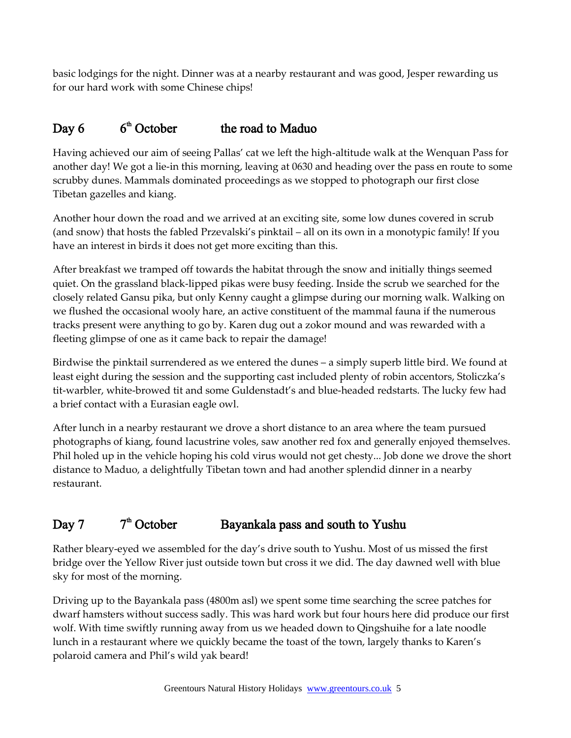basic lodgings for the night. Dinner was at a nearby restaurant and was good, Jesper rewarding us for our hard work with some Chinese chips!

#### Day  $6$  $6<sup>th</sup>$  October the road to Maduo

Having achieved our aim of seeing Pallas' cat we left the high-altitude walk at the Wenquan Pass for another day! We got a lie-in this morning, leaving at 0630 and heading over the pass en route to some scrubby dunes. Mammals dominated proceedings as we stopped to photograph our first close Tibetan gazelles and kiang.

Another hour down the road and we arrived at an exciting site, some low dunes covered in scrub (and snow) that hosts the fabled Przevalski's pinktail – all on its own in a monotypic family! If you have an interest in birds it does not get more exciting than this.

After breakfast we tramped off towards the habitat through the snow and initially things seemed quiet. On the grassland black-lipped pikas were busy feeding. Inside the scrub we searched for the closely related Gansu pika, but only Kenny caught a glimpse during our morning walk. Walking on we flushed the occasional wooly hare, an active constituent of the mammal fauna if the numerous tracks present were anything to go by. Karen dug out a zokor mound and was rewarded with a fleeting glimpse of one as it came back to repair the damage!

Birdwise the pinktail surrendered as we entered the dunes – a simply superb little bird. We found at least eight during the session and the supporting cast included plenty of robin accentors, Stoliczka's tit-warbler, white-browed tit and some Guldenstadt's and blue-headed redstarts. The lucky few had a brief contact with a Eurasian eagle owl.

After lunch in a nearby restaurant we drove a short distance to an area where the team pursued photographs of kiang, found lacustrine voles, saw another red fox and generally enjoyed themselves. Phil holed up in the vehicle hoping his cold virus would not get chesty... Job done we drove the short distance to Maduo, a delightfully Tibetan town and had another splendid dinner in a nearby restaurant.

#### Day 7  $7<sup>th</sup>$  October Bayankala pass and south to Yushu

Rather bleary-eyed we assembled for the day's drive south to Yushu. Most of us missed the first bridge over the Yellow River just outside town but cross it we did. The day dawned well with blue sky for most of the morning.

Driving up to the Bayankala pass (4800m asl) we spent some time searching the scree patches for dwarf hamsters without success sadly. This was hard work but four hours here did produce our first wolf. With time swiftly running away from us we headed down to Qingshuihe for a late noodle lunch in a restaurant where we quickly became the toast of the town, largely thanks to Karen's polaroid camera and Phil's wild yak beard!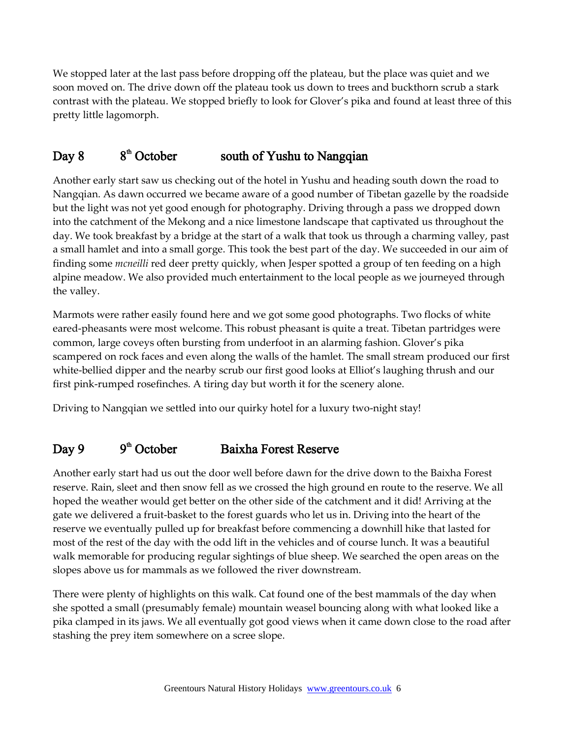We stopped later at the last pass before dropping off the plateau, but the place was quiet and we soon moved on. The drive down off the plateau took us down to trees and buckthorn scrub a stark contrast with the plateau. We stopped briefly to look for Glover's pika and found at least three of this pretty little lagomorph.

#### Day 8  $8<sup>th</sup>$  October south of Yushu to Nangqian

Another early start saw us checking out of the hotel in Yushu and heading south down the road to Nangqian. As dawn occurred we became aware of a good number of Tibetan gazelle by the roadside but the light was not yet good enough for photography. Driving through a pass we dropped down into the catchment of the Mekong and a nice limestone landscape that captivated us throughout the day. We took breakfast by a bridge at the start of a walk that took us through a charming valley, past a small hamlet and into a small gorge. This took the best part of the day. We succeeded in our aim of finding some *mcneilli* red deer pretty quickly, when Jesper spotted a group of ten feeding on a high alpine meadow. We also provided much entertainment to the local people as we journeyed through the valley.

Marmots were rather easily found here and we got some good photographs. Two flocks of white eared-pheasants were most welcome. This robust pheasant is quite a treat. Tibetan partridges were common, large coveys often bursting from underfoot in an alarming fashion. Glover's pika scampered on rock faces and even along the walls of the hamlet. The small stream produced our first white-bellied dipper and the nearby scrub our first good looks at Elliot's laughing thrush and our first pink-rumped rosefinches. A tiring day but worth it for the scenery alone.

Driving to Nangqian we settled into our quirky hotel for a luxury two-night stay!

#### Day 9  $9<sup>th</sup>$  October Baixha Forest Reserve

Another early start had us out the door well before dawn for the drive down to the Baixha Forest reserve. Rain, sleet and then snow fell as we crossed the high ground en route to the reserve. We all hoped the weather would get better on the other side of the catchment and it did! Arriving at the gate we delivered a fruit-basket to the forest guards who let us in. Driving into the heart of the reserve we eventually pulled up for breakfast before commencing a downhill hike that lasted for most of the rest of the day with the odd lift in the vehicles and of course lunch. It was a beautiful walk memorable for producing regular sightings of blue sheep. We searched the open areas on the slopes above us for mammals as we followed the river downstream.

There were plenty of highlights on this walk. Cat found one of the best mammals of the day when she spotted a small (presumably female) mountain weasel bouncing along with what looked like a pika clamped in its jaws. We all eventually got good views when it came down close to the road after stashing the prey item somewhere on a scree slope.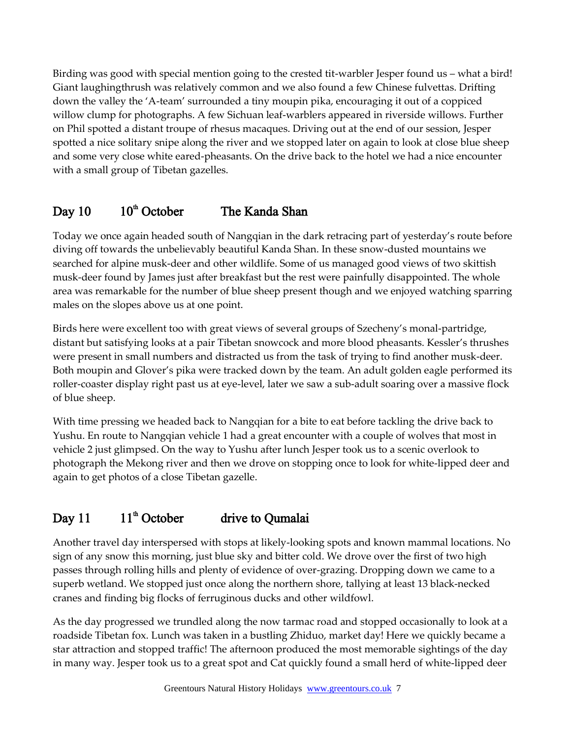Birding was good with special mention going to the crested tit-warbler Jesper found us – what a bird! Giant laughingthrush was relatively common and we also found a few Chinese fulvettas. Drifting down the valley the 'A-team' surrounded a tiny moupin pika, encouraging it out of a coppiced willow clump for photographs. A few Sichuan leaf-warblers appeared in riverside willows. Further on Phil spotted a distant troupe of rhesus macaques. Driving out at the end of our session, Jesper spotted a nice solitary snipe along the river and we stopped later on again to look at close blue sheep and some very close white eared-pheasants. On the drive back to the hotel we had a nice encounter with a small group of Tibetan gazelles.

#### Day  $10^{th}$  October The Kanda Shan

Today we once again headed south of Nangqian in the dark retracing part of yesterday's route before diving off towards the unbelievably beautiful Kanda Shan. In these snow-dusted mountains we searched for alpine musk-deer and other wildlife. Some of us managed good views of two skittish musk-deer found by James just after breakfast but the rest were painfully disappointed. The whole area was remarkable for the number of blue sheep present though and we enjoyed watching sparring males on the slopes above us at one point.

Birds here were excellent too with great views of several groups of Szecheny's monal-partridge, distant but satisfying looks at a pair Tibetan snowcock and more blood pheasants. Kessler's thrushes were present in small numbers and distracted us from the task of trying to find another musk-deer. Both moupin and Glover's pika were tracked down by the team. An adult golden eagle performed its roller-coaster display right past us at eye-level, later we saw a sub-adult soaring over a massive flock of blue sheep.

With time pressing we headed back to Nangqian for a bite to eat before tackling the drive back to Yushu. En route to Nangqian vehicle 1 had a great encounter with a couple of wolves that most in vehicle 2 just glimpsed. On the way to Yushu after lunch Jesper took us to a scenic overlook to photograph the Mekong river and then we drove on stopping once to look for white-lipped deer and again to get photos of a close Tibetan gazelle.

#### Day 11  $11^{\text{th}}$  October drive to Qumalai

Another travel day interspersed with stops at likely-looking spots and known mammal locations. No sign of any snow this morning, just blue sky and bitter cold. We drove over the first of two high passes through rolling hills and plenty of evidence of over-grazing. Dropping down we came to a superb wetland. We stopped just once along the northern shore, tallying at least 13 black-necked cranes and finding big flocks of ferruginous ducks and other wildfowl.

As the day progressed we trundled along the now tarmac road and stopped occasionally to look at a roadside Tibetan fox. Lunch was taken in a bustling Zhiduo, market day! Here we quickly became a star attraction and stopped traffic! The afternoon produced the most memorable sightings of the day in many way. Jesper took us to a great spot and Cat quickly found a small herd of white-lipped deer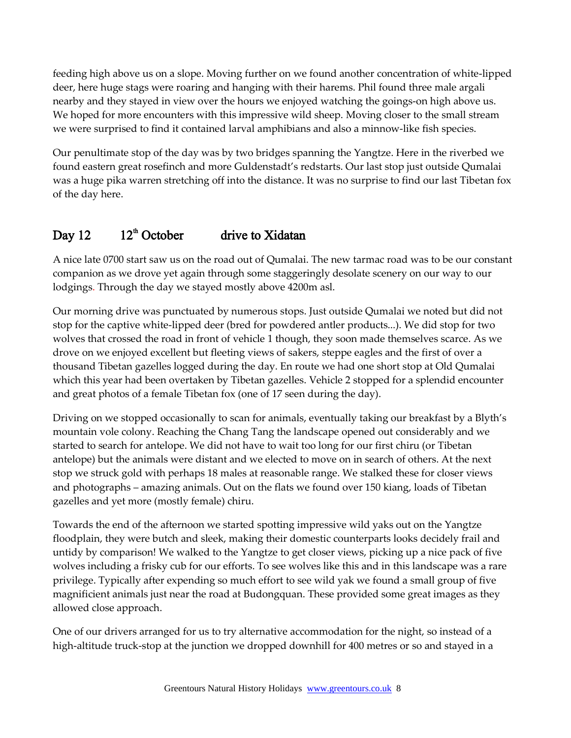feeding high above us on a slope. Moving further on we found another concentration of white-lipped deer, here huge stags were roaring and hanging with their harems. Phil found three male argali nearby and they stayed in view over the hours we enjoyed watching the goings-on high above us. We hoped for more encounters with this impressive wild sheep. Moving closer to the small stream we were surprised to find it contained larval amphibians and also a minnow-like fish species.

Our penultimate stop of the day was by two bridges spanning the Yangtze. Here in the riverbed we found eastern great rosefinch and more Guldenstadt's redstarts. Our last stop just outside Qumalai was a huge pika warren stretching off into the distance. It was no surprise to find our last Tibetan fox of the day here.

#### Day  $12$  $12^{\text{th}}$  October drive to Xidatan

A nice late 0700 start saw us on the road out of Qumalai. The new tarmac road was to be our constant companion as we drove yet again through some staggeringly desolate scenery on our way to our lodgings. Through the day we stayed mostly above 4200m asl.

Our morning drive was punctuated by numerous stops. Just outside Qumalai we noted but did not stop for the captive white-lipped deer (bred for powdered antler products...). We did stop for two wolves that crossed the road in front of vehicle 1 though, they soon made themselves scarce. As we drove on we enjoyed excellent but fleeting views of sakers, steppe eagles and the first of over a thousand Tibetan gazelles logged during the day. En route we had one short stop at Old Qumalai which this year had been overtaken by Tibetan gazelles. Vehicle 2 stopped for a splendid encounter and great photos of a female Tibetan fox (one of 17 seen during the day).

Driving on we stopped occasionally to scan for animals, eventually taking our breakfast by a Blyth's mountain vole colony. Reaching the Chang Tang the landscape opened out considerably and we started to search for antelope. We did not have to wait too long for our first chiru (or Tibetan antelope) but the animals were distant and we elected to move on in search of others. At the next stop we struck gold with perhaps 18 males at reasonable range. We stalked these for closer views and photographs – amazing animals. Out on the flats we found over 150 kiang, loads of Tibetan gazelles and yet more (mostly female) chiru.

Towards the end of the afternoon we started spotting impressive wild yaks out on the Yangtze floodplain, they were butch and sleek, making their domestic counterparts looks decidely frail and untidy by comparison! We walked to the Yangtze to get closer views, picking up a nice pack of five wolves including a frisky cub for our efforts. To see wolves like this and in this landscape was a rare privilege. Typically after expending so much effort to see wild yak we found a small group of five magnificient animals just near the road at Budongquan. These provided some great images as they allowed close approach.

One of our drivers arranged for us to try alternative accommodation for the night, so instead of a high-altitude truck-stop at the junction we dropped downhill for 400 metres or so and stayed in a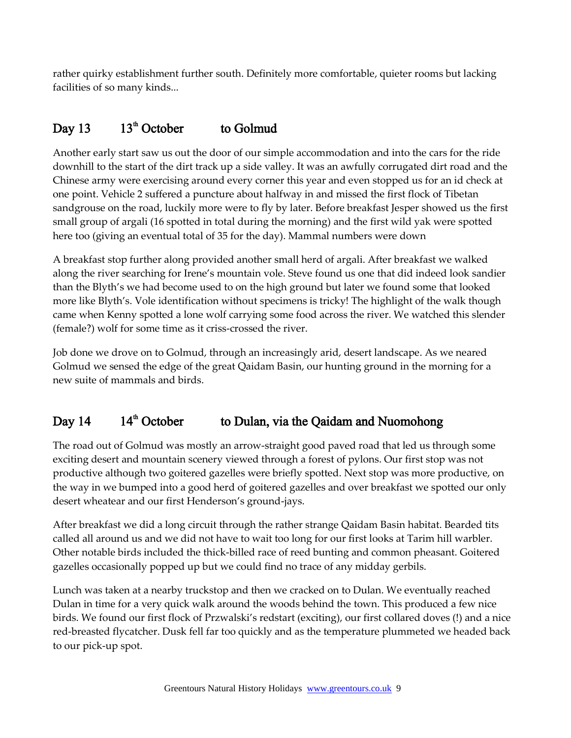rather quirky establishment further south. Definitely more comfortable, quieter rooms but lacking facilities of so many kinds...

#### Day 13  $13<sup>th</sup>$  October to Golmud

Another early start saw us out the door of our simple accommodation and into the cars for the ride downhill to the start of the dirt track up a side valley. It was an awfully corrugated dirt road and the Chinese army were exercising around every corner this year and even stopped us for an id check at one point. Vehicle 2 suffered a puncture about halfway in and missed the first flock of Tibetan sandgrouse on the road, luckily more were to fly by later. Before breakfast Jesper showed us the first small group of argali (16 spotted in total during the morning) and the first wild yak were spotted here too (giving an eventual total of 35 for the day). Mammal numbers were down

A breakfast stop further along provided another small herd of argali. After breakfast we walked along the river searching for Irene's mountain vole. Steve found us one that did indeed look sandier than the Blyth's we had become used to on the high ground but later we found some that looked more like Blyth's. Vole identification without specimens is tricky! The highlight of the walk though came when Kenny spotted a lone wolf carrying some food across the river. We watched this slender (female?) wolf for some time as it criss-crossed the river.

Job done we drove on to Golmud, through an increasingly arid, desert landscape. As we neared Golmud we sensed the edge of the great Qaidam Basin, our hunting ground in the morning for a new suite of mammals and birds.

#### Day  $14$  14<sup>th</sup> October to Dulan, via the Qaidam and Nuomohong

The road out of Golmud was mostly an arrow-straight good paved road that led us through some exciting desert and mountain scenery viewed through a forest of pylons. Our first stop was not productive although two goitered gazelles were briefly spotted. Next stop was more productive, on the way in we bumped into a good herd of goitered gazelles and over breakfast we spotted our only desert wheatear and our first Henderson's ground-jays.

After breakfast we did a long circuit through the rather strange Qaidam Basin habitat. Bearded tits called all around us and we did not have to wait too long for our first looks at Tarim hill warbler. Other notable birds included the thick-billed race of reed bunting and common pheasant. Goitered gazelles occasionally popped up but we could find no trace of any midday gerbils.

Lunch was taken at a nearby truckstop and then we cracked on to Dulan. We eventually reached Dulan in time for a very quick walk around the woods behind the town. This produced a few nice birds. We found our first flock of Przwalski's redstart (exciting), our first collared doves (!) and a nice red-breasted flycatcher. Dusk fell far too quickly and as the temperature plummeted we headed back to our pick-up spot.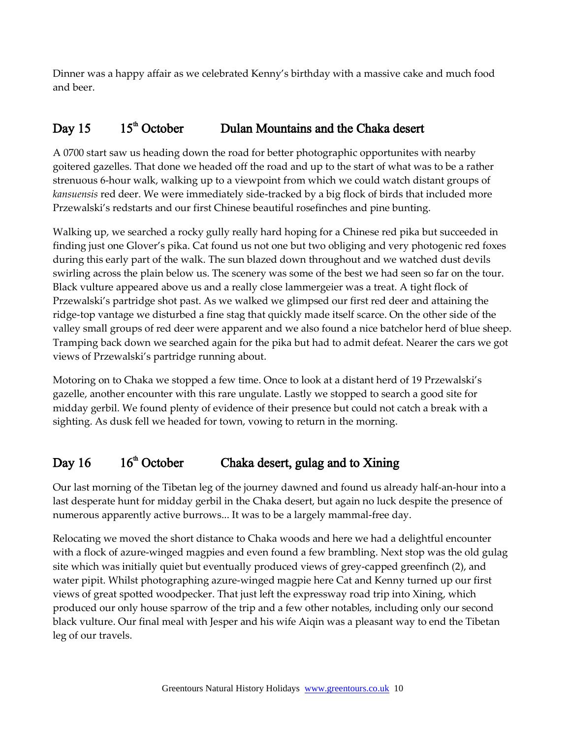Dinner was a happy affair as we celebrated Kenny's birthday with a massive cake and much food and beer.

#### Day 15  $15<sup>th</sup>$  October Dulan Mountains and the Chaka desert

A 0700 start saw us heading down the road for better photographic opportunites with nearby goitered gazelles. That done we headed off the road and up to the start of what was to be a rather strenuous 6-hour walk, walking up to a viewpoint from which we could watch distant groups of *kansuensis* red deer. We were immediately side-tracked by a big flock of birds that included more Przewalski's redstarts and our first Chinese beautiful rosefinches and pine bunting.

Walking up, we searched a rocky gully really hard hoping for a Chinese red pika but succeeded in finding just one Glover's pika. Cat found us not one but two obliging and very photogenic red foxes during this early part of the walk. The sun blazed down throughout and we watched dust devils swirling across the plain below us. The scenery was some of the best we had seen so far on the tour. Black vulture appeared above us and a really close lammergeier was a treat. A tight flock of Przewalski's partridge shot past. As we walked we glimpsed our first red deer and attaining the ridge-top vantage we disturbed a fine stag that quickly made itself scarce. On the other side of the valley small groups of red deer were apparent and we also found a nice batchelor herd of blue sheep. Tramping back down we searched again for the pika but had to admit defeat. Nearer the cars we got views of Przewalski's partridge running about.

Motoring on to Chaka we stopped a few time. Once to look at a distant herd of 19 Przewalski's gazelle, another encounter with this rare ungulate. Lastly we stopped to search a good site for midday gerbil. We found plenty of evidence of their presence but could not catch a break with a sighting. As dusk fell we headed for town, vowing to return in the morning.

#### Day  $16 \t 16<sup>th</sup>$  October Chaka desert, gulag and to Xining

Our last morning of the Tibetan leg of the journey dawned and found us already half-an-hour into a last desperate hunt for midday gerbil in the Chaka desert, but again no luck despite the presence of numerous apparently active burrows... It was to be a largely mammal-free day.

Relocating we moved the short distance to Chaka woods and here we had a delightful encounter with a flock of azure-winged magpies and even found a few brambling. Next stop was the old gulag site which was initially quiet but eventually produced views of grey-capped greenfinch (2), and water pipit. Whilst photographing azure-winged magpie here Cat and Kenny turned up our first views of great spotted woodpecker. That just left the expressway road trip into Xining, which produced our only house sparrow of the trip and a few other notables, including only our second black vulture. Our final meal with Jesper and his wife Aiqin was a pleasant way to end the Tibetan leg of our travels.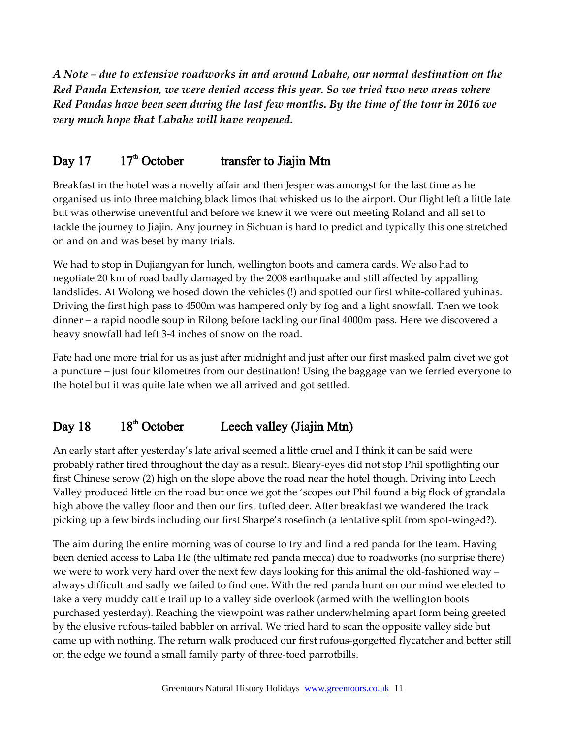*A Note – due to extensive roadworks in and around Labahe, our normal destination on the Red Panda Extension, we were denied access this year. So we tried two new areas where Red Pandas have been seen during the last few months. By the time of the tour in 2016 we very much hope that Labahe will have reopened.*

#### Day 17  $17<sup>th</sup>$  October transfer to Jiajin Mtn

Breakfast in the hotel was a novelty affair and then Jesper was amongst for the last time as he organised us into three matching black limos that whisked us to the airport. Our flight left a little late but was otherwise uneventful and before we knew it we were out meeting Roland and all set to tackle the journey to Jiajin. Any journey in Sichuan is hard to predict and typically this one stretched on and on and was beset by many trials.

We had to stop in Dujiangyan for lunch, wellington boots and camera cards. We also had to negotiate 20 km of road badly damaged by the 2008 earthquake and still affected by appalling landslides. At Wolong we hosed down the vehicles (!) and spotted our first white-collared yuhinas. Driving the first high pass to 4500m was hampered only by fog and a light snowfall. Then we took dinner – a rapid noodle soup in Rilong before tackling our final 4000m pass. Here we discovered a heavy snowfall had left 3-4 inches of snow on the road.

Fate had one more trial for us as just after midnight and just after our first masked palm civet we got a puncture – just four kilometres from our destination! Using the baggage van we ferried everyone to the hotel but it was quite late when we all arrived and got settled.

#### Day  $18$  18<sup>th</sup> October Leech valley (Jiajin Mtn)

An early start after yesterday's late arival seemed a little cruel and I think it can be said were probably rather tired throughout the day as a result. Bleary-eyes did not stop Phil spotlighting our first Chinese serow (2) high on the slope above the road near the hotel though. Driving into Leech Valley produced little on the road but once we got the 'scopes out Phil found a big flock of grandala high above the valley floor and then our first tufted deer. After breakfast we wandered the track picking up a few birds including our first Sharpe's rosefinch (a tentative split from spot-winged?).

The aim during the entire morning was of course to try and find a red panda for the team. Having been denied access to Laba He (the ultimate red panda mecca) due to roadworks (no surprise there) we were to work very hard over the next few days looking for this animal the old-fashioned way – always difficult and sadly we failed to find one. With the red panda hunt on our mind we elected to take a very muddy cattle trail up to a valley side overlook (armed with the wellington boots purchased yesterday). Reaching the viewpoint was rather underwhelming apart form being greeted by the elusive rufous-tailed babbler on arrival. We tried hard to scan the opposite valley side but came up with nothing. The return walk produced our first rufous-gorgetted flycatcher and better still on the edge we found a small family party of three-toed parrotbills.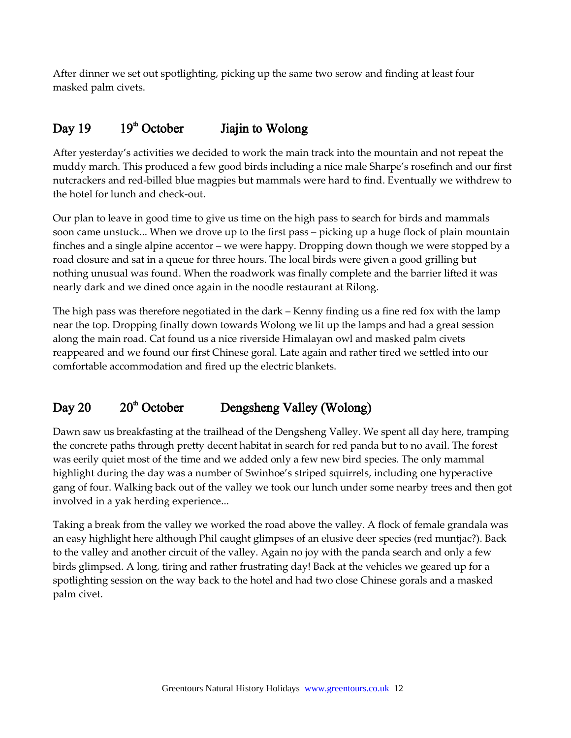After dinner we set out spotlighting, picking up the same two serow and finding at least four masked palm civets.

#### Day 19  $19<sup>th</sup>$  October Jiajin to Wolong

After yesterday's activities we decided to work the main track into the mountain and not repeat the muddy march. This produced a few good birds including a nice male Sharpe's rosefinch and our first nutcrackers and red-billed blue magpies but mammals were hard to find. Eventually we withdrew to the hotel for lunch and check-out.

Our plan to leave in good time to give us time on the high pass to search for birds and mammals soon came unstuck... When we drove up to the first pass – picking up a huge flock of plain mountain finches and a single alpine accentor – we were happy. Dropping down though we were stopped by a road closure and sat in a queue for three hours. The local birds were given a good grilling but nothing unusual was found. When the roadwork was finally complete and the barrier lifted it was nearly dark and we dined once again in the noodle restaurant at Rilong.

The high pass was therefore negotiated in the dark – Kenny finding us a fine red fox with the lamp near the top. Dropping finally down towards Wolong we lit up the lamps and had a great session along the main road. Cat found us a nice riverside Himalayan owl and masked palm civets reappeared and we found our first Chinese goral. Late again and rather tired we settled into our comfortable accommodation and fired up the electric blankets.

#### Day 20  $20<sup>th</sup>$  October Dengsheng Valley (Wolong)

Dawn saw us breakfasting at the trailhead of the Dengsheng Valley. We spent all day here, tramping the concrete paths through pretty decent habitat in search for red panda but to no avail. The forest was eerily quiet most of the time and we added only a few new bird species. The only mammal highlight during the day was a number of Swinhoe's striped squirrels, including one hyperactive gang of four. Walking back out of the valley we took our lunch under some nearby trees and then got involved in a yak herding experience...

Taking a break from the valley we worked the road above the valley. A flock of female grandala was an easy highlight here although Phil caught glimpses of an elusive deer species (red muntjac?). Back to the valley and another circuit of the valley. Again no joy with the panda search and only a few birds glimpsed. A long, tiring and rather frustrating day! Back at the vehicles we geared up for a spotlighting session on the way back to the hotel and had two close Chinese gorals and a masked palm civet.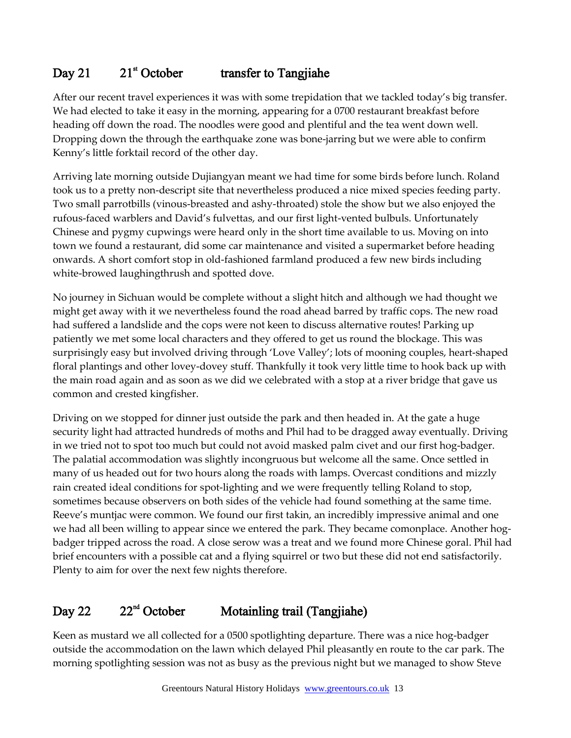#### Day 21  $21$ <sup>st</sup> October transfer to Tangjiahe

After our recent travel experiences it was with some trepidation that we tackled today's big transfer. We had elected to take it easy in the morning, appearing for a 0700 restaurant breakfast before heading off down the road. The noodles were good and plentiful and the tea went down well. Dropping down the through the earthquake zone was bone-jarring but we were able to confirm Kenny's little forktail record of the other day.

Arriving late morning outside Dujiangyan meant we had time for some birds before lunch. Roland took us to a pretty non-descript site that nevertheless produced a nice mixed species feeding party. Two small parrotbills (vinous-breasted and ashy-throated) stole the show but we also enjoyed the rufous-faced warblers and David's fulvettas, and our first light-vented bulbuls. Unfortunately Chinese and pygmy cupwings were heard only in the short time available to us. Moving on into town we found a restaurant, did some car maintenance and visited a supermarket before heading onwards. A short comfort stop in old-fashioned farmland produced a few new birds including white-browed laughingthrush and spotted dove.

No journey in Sichuan would be complete without a slight hitch and although we had thought we might get away with it we nevertheless found the road ahead barred by traffic cops. The new road had suffered a landslide and the cops were not keen to discuss alternative routes! Parking up patiently we met some local characters and they offered to get us round the blockage. This was surprisingly easy but involved driving through 'Love Valley'; lots of mooning couples, heart-shaped floral plantings and other lovey-dovey stuff. Thankfully it took very little time to hook back up with the main road again and as soon as we did we celebrated with a stop at a river bridge that gave us common and crested kingfisher.

Driving on we stopped for dinner just outside the park and then headed in. At the gate a huge security light had attracted hundreds of moths and Phil had to be dragged away eventually. Driving in we tried not to spot too much but could not avoid masked palm civet and our first hog-badger. The palatial accommodation was slightly incongruous but welcome all the same. Once settled in many of us headed out for two hours along the roads with lamps. Overcast conditions and mizzly rain created ideal conditions for spot-lighting and we were frequently telling Roland to stop, sometimes because observers on both sides of the vehicle had found something at the same time. Reeve's muntjac were common. We found our first takin, an incredibly impressive animal and one we had all been willing to appear since we entered the park. They became comonplace. Another hogbadger tripped across the road. A close serow was a treat and we found more Chinese goral. Phil had brief encounters with a possible cat and a flying squirrel or two but these did not end satisfactorily. Plenty to aim for over the next few nights therefore.

#### Day 22  $22<sup>nd</sup>$  October Motainling trail (Tangjiahe)

Keen as mustard we all collected for a 0500 spotlighting departure. There was a nice hog-badger outside the accommodation on the lawn which delayed Phil pleasantly en route to the car park. The morning spotlighting session was not as busy as the previous night but we managed to show Steve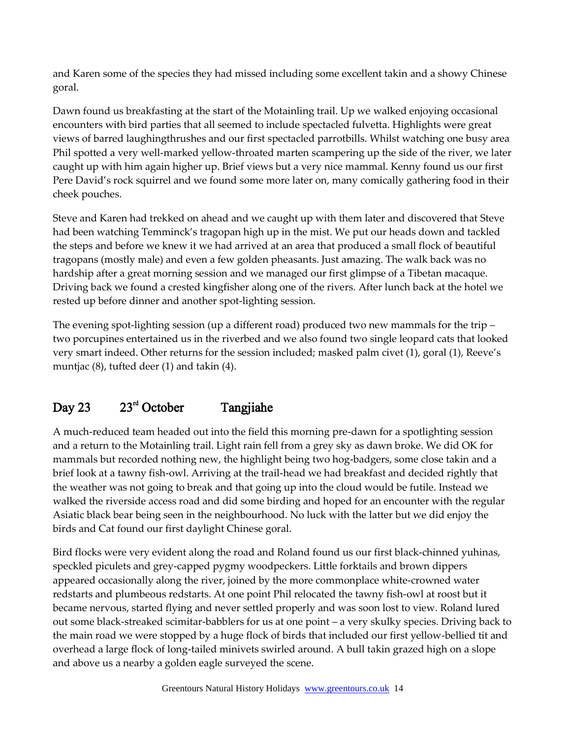and Karen some of the species they had missed including some excellent takin and a showy Chinese goral.

Dawn found us breakfasting at the start of the Motainling trail. Up we walked enjoying occasional encounters with bird parties that all seemed to include spectacled fulvetta. Highlights were great views of barred laughingthrushes and our first spectacled parrotbills. Whilst watching one busy area Phil spotted a very well-marked yellow-throated marten scampering up the side of the river, we later caught up with him again higher up. Brief views but a very nice mammal. Kenny found us our first Pere David's rock squirrel and we found some more later on, many comically gathering food in their cheek pouches.

Steve and Karen had trekked on ahead and we caught up with them later and discovered that Steve had been watching Temminck's tragopan high up in the mist. We put our heads down and tackled the steps and before we knew it we had arrived at an area that produced a small flock of beautiful tragopans (mostly male) and even a few golden pheasants. Just amazing. The walk back was no hardship after a great morning session and we managed our first glimpse of a Tibetan macaque. Driving back we found a crested kingfisher along one of the rivers. After lunch back at the hotel we rested up before dinner and another spot-lighting session.

The evening spot-lighting session (up a different road) produced two new mammals for the trip – two porcupines entertained us in the riverbed and we also found two single leopard cats that looked very smart indeed. Other returns for the session included; masked palm civet (1), goral (1), Reeve's muntjac (8), tufted deer (1) and takin (4).

#### Day 23  $23<sup>rd</sup>$  October Tangjiahe

A much-reduced team headed out into the field this morning pre-dawn for a spotlighting session and a return to the Motainling trail. Light rain fell from a grey sky as dawn broke. We did OK for mammals but recorded nothing new, the highlight being two hog-badgers, some close takin and a brief look at a tawny fish-owl. Arriving at the trail-head we had breakfast and decided rightly that the weather was not going to break and that going up into the cloud would be futile. Instead we walked the riverside access road and did some birding and hoped for an encounter with the regular Asiatic black bear being seen in the neighbourhood. No luck with the latter but we did enjoy the birds and Cat found our first daylight Chinese goral.

Bird flocks were very evident along the road and Roland found us our first black-chinned yuhinas, speckled piculets and grey-capped pygmy woodpeckers. Little forktails and brown dippers appeared occasionally along the river, joined by the more commonplace white-crowned water redstarts and plumbeous redstarts. At one point Phil relocated the tawny fish-owl at roost but it became nervous, started flying and never settled properly and was soon lost to view. Roland lured out some black-streaked scimitar-babblers for us at one point – a very skulky species. Driving back to the main road we were stopped by a huge flock of birds that included our first yellow-bellied tit and overhead a large flock of long-tailed minivets swirled around. A bull takin grazed high on a slope and above us a nearby a golden eagle surveyed the scene.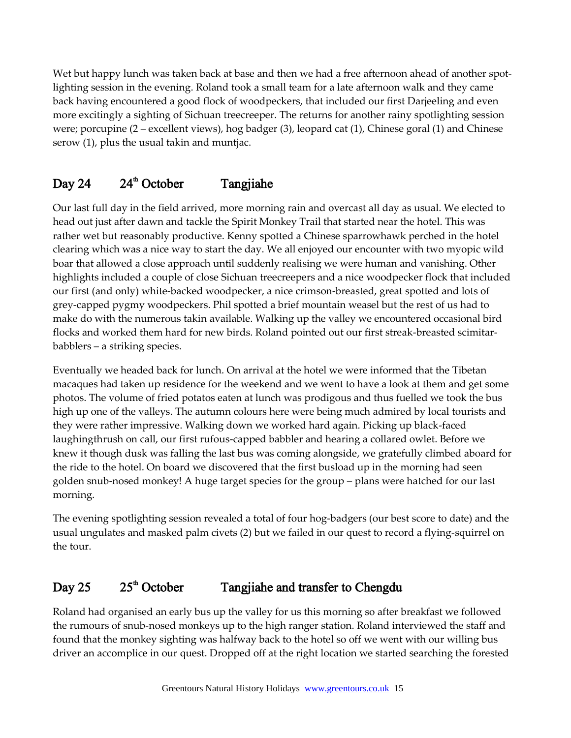Wet but happy lunch was taken back at base and then we had a free afternoon ahead of another spotlighting session in the evening. Roland took a small team for a late afternoon walk and they came back having encountered a good flock of woodpeckers, that included our first Darjeeling and even more excitingly a sighting of Sichuan treecreeper. The returns for another rainy spotlighting session were; porcupine (2 – excellent views), hog badger (3), leopard cat (1), Chinese goral (1) and Chinese serow (1), plus the usual takin and muntjac.

#### Day 24  $24^{\text{th}}$  October Tangjiahe

Our last full day in the field arrived, more morning rain and overcast all day as usual. We elected to head out just after dawn and tackle the Spirit Monkey Trail that started near the hotel. This was rather wet but reasonably productive. Kenny spotted a Chinese sparrowhawk perched in the hotel clearing which was a nice way to start the day. We all enjoyed our encounter with two myopic wild boar that allowed a close approach until suddenly realising we were human and vanishing. Other highlights included a couple of close Sichuan treecreepers and a nice woodpecker flock that included our first (and only) white-backed woodpecker, a nice crimson-breasted, great spotted and lots of grey-capped pygmy woodpeckers. Phil spotted a brief mountain weasel but the rest of us had to make do with the numerous takin available. Walking up the valley we encountered occasional bird flocks and worked them hard for new birds. Roland pointed out our first streak-breasted scimitarbabblers – a striking species.

Eventually we headed back for lunch. On arrival at the hotel we were informed that the Tibetan macaques had taken up residence for the weekend and we went to have a look at them and get some photos. The volume of fried potatos eaten at lunch was prodigous and thus fuelled we took the bus high up one of the valleys. The autumn colours here were being much admired by local tourists and they were rather impressive. Walking down we worked hard again. Picking up black-faced laughingthrush on call, our first rufous-capped babbler and hearing a collared owlet. Before we knew it though dusk was falling the last bus was coming alongside, we gratefully climbed aboard for the ride to the hotel. On board we discovered that the first busload up in the morning had seen golden snub-nosed monkey! A huge target species for the group – plans were hatched for our last morning.

The evening spotlighting session revealed a total of four hog-badgers (our best score to date) and the usual ungulates and masked palm civets (2) but we failed in our quest to record a flying-squirrel on the tour.

#### Day 25  $25^{\text{th}}$  October Tangjiahe and transfer to Chengdu

Roland had organised an early bus up the valley for us this morning so after breakfast we followed the rumours of snub-nosed monkeys up to the high ranger station. Roland interviewed the staff and found that the monkey sighting was halfway back to the hotel so off we went with our willing bus driver an accomplice in our quest. Dropped off at the right location we started searching the forested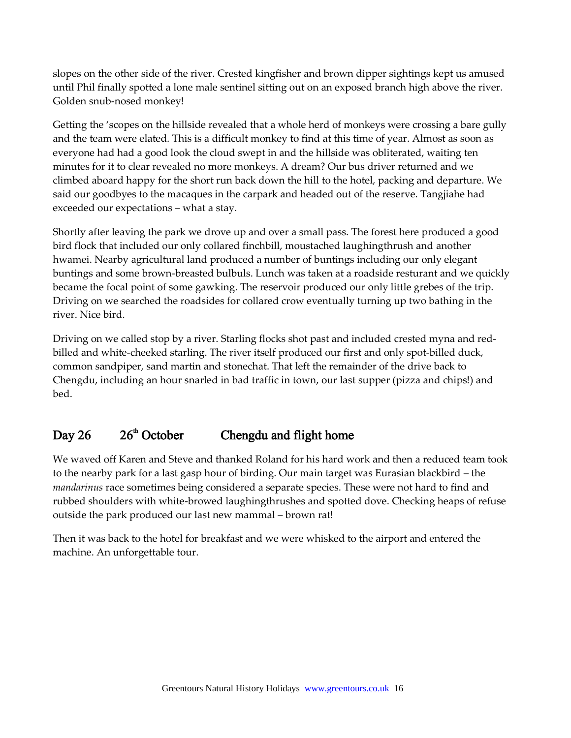slopes on the other side of the river. Crested kingfisher and brown dipper sightings kept us amused until Phil finally spotted a lone male sentinel sitting out on an exposed branch high above the river. Golden snub-nosed monkey!

Getting the 'scopes on the hillside revealed that a whole herd of monkeys were crossing a bare gully and the team were elated. This is a difficult monkey to find at this time of year. Almost as soon as everyone had had a good look the cloud swept in and the hillside was obliterated, waiting ten minutes for it to clear revealed no more monkeys. A dream? Our bus driver returned and we climbed aboard happy for the short run back down the hill to the hotel, packing and departure. We said our goodbyes to the macaques in the carpark and headed out of the reserve. Tangjiahe had exceeded our expectations – what a stay.

Shortly after leaving the park we drove up and over a small pass. The forest here produced a good bird flock that included our only collared finchbill, moustached laughingthrush and another hwamei. Nearby agricultural land produced a number of buntings including our only elegant buntings and some brown-breasted bulbuls. Lunch was taken at a roadside resturant and we quickly became the focal point of some gawking. The reservoir produced our only little grebes of the trip. Driving on we searched the roadsides for collared crow eventually turning up two bathing in the river. Nice bird.

Driving on we called stop by a river. Starling flocks shot past and included crested myna and redbilled and white-cheeked starling. The river itself produced our first and only spot-billed duck, common sandpiper, sand martin and stonechat. That left the remainder of the drive back to Chengdu, including an hour snarled in bad traffic in town, our last supper (pizza and chips!) and bed.

#### Day  $26 \t 26$ <sup>th</sup> October Chengdu and flight home

We waved off Karen and Steve and thanked Roland for his hard work and then a reduced team took to the nearby park for a last gasp hour of birding. Our main target was Eurasian blackbird – the *mandarinus* race sometimes being considered a separate species. These were not hard to find and rubbed shoulders with white-browed laughingthrushes and spotted dove. Checking heaps of refuse outside the park produced our last new mammal – brown rat!

Then it was back to the hotel for breakfast and we were whisked to the airport and entered the machine. An unforgettable tour.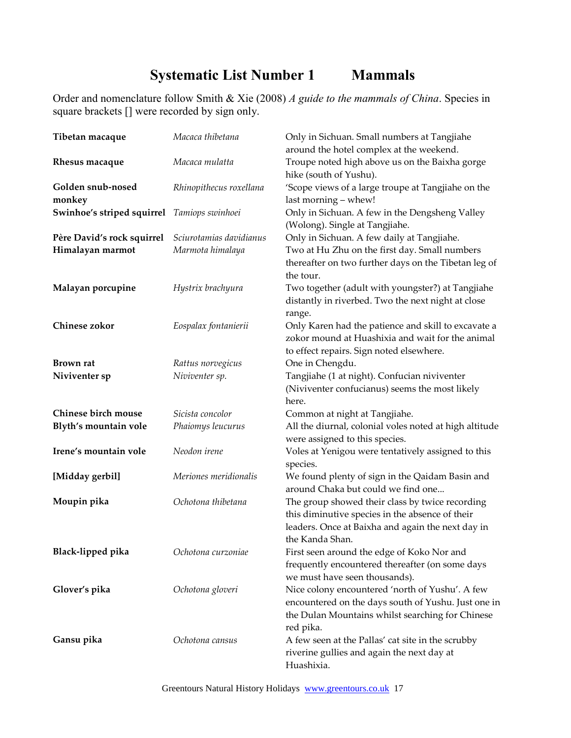# **Systematic List Number 1 Mammals**

Order and nomenclature follow Smith & Xie (2008) *A guide to the mammals of China*. Species in square brackets [] were recorded by sign only.

| Tibetan macaque                             | Macaca thibetana        | Only in Sichuan. Small numbers at Tangjiahe<br>around the hotel complex at the weekend.                                                                                    |
|---------------------------------------------|-------------------------|----------------------------------------------------------------------------------------------------------------------------------------------------------------------------|
| Rhesus macaque                              | Macaca mulatta          | Troupe noted high above us on the Baixha gorge<br>hike (south of Yushu).                                                                                                   |
| Golden snub-nosed<br>monkey                 | Rhinopithecus roxellana | 'Scope views of a large troupe at Tangjiahe on the<br>last morning - whew!                                                                                                 |
| Swinhoe's striped squirrel Tamiops swinhoei |                         | Only in Sichuan. A few in the Dengsheng Valley<br>(Wolong). Single at Tangjiahe.                                                                                           |
| Père David's rock squirrel                  | Sciurotamias davidianus | Only in Sichuan. A few daily at Tangjiahe.                                                                                                                                 |
| Himalayan marmot                            | Marmota himalaya        | Two at Hu Zhu on the first day. Small numbers<br>thereafter on two further days on the Tibetan leg of<br>the tour.                                                         |
| Malayan porcupine                           | Hystrix brachyura       | Two together (adult with youngster?) at Tangjiahe<br>distantly in riverbed. Two the next night at close<br>range.                                                          |
| Chinese zokor                               | Eospalax fontanierii    | Only Karen had the patience and skill to excavate a<br>zokor mound at Huashixia and wait for the animal<br>to effect repairs. Sign noted elsewhere.                        |
| <b>Brown</b> rat                            | Rattus norvegicus       | One in Chengdu.                                                                                                                                                            |
| Niviventer sp                               | Niviventer sp.          | Tangjiahe (1 at night). Confucian niviventer<br>(Niviventer confucianus) seems the most likely<br>here.                                                                    |
| <b>Chinese birch mouse</b>                  | Sicista concolor        | Common at night at Tangjiahe.                                                                                                                                              |
| Blyth's mountain vole                       | Phaiomys leucurus       | All the diurnal, colonial voles noted at high altitude<br>were assigned to this species.                                                                                   |
| Irene's mountain vole                       | Neodon irene            | Voles at Yenigou were tentatively assigned to this<br>species.                                                                                                             |
| [Midday gerbil]                             | Meriones meridionalis   | We found plenty of sign in the Qaidam Basin and<br>around Chaka but could we find one                                                                                      |
| Moupin pika                                 | Ochotona thibetana      | The group showed their class by twice recording<br>this diminutive species in the absence of their<br>leaders. Once at Baixha and again the next day in<br>the Kanda Shan. |
| Black-lipped pika                           | Ochotona curzoniae      | First seen around the edge of Koko Nor and<br>frequently encountered thereafter (on some days<br>we must have seen thousands).                                             |
| Glover's pika                               | Ochotona gloveri        | Nice colony encountered 'north of Yushu'. A few<br>encountered on the days south of Yushu. Just one in<br>the Dulan Mountains whilst searching for Chinese<br>red pika.    |
| Gansu pika                                  | Ochotona cansus         | A few seen at the Pallas' cat site in the scrubby<br>riverine gullies and again the next day at<br>Huashixia.                                                              |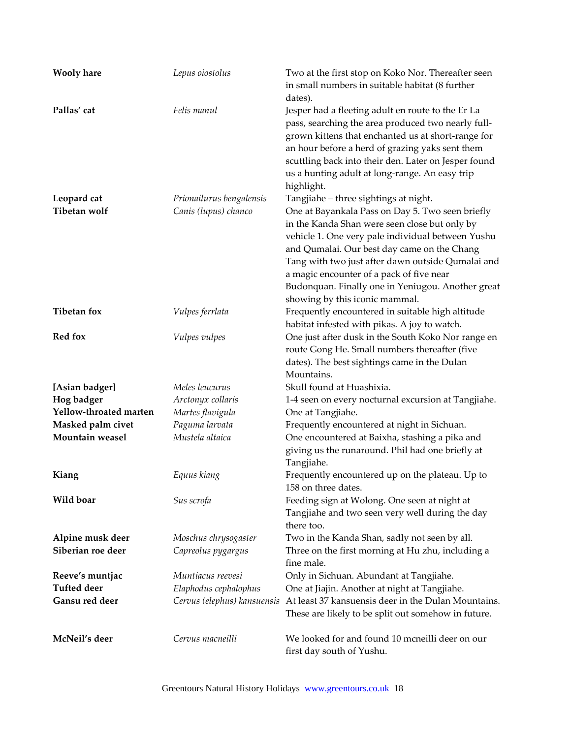| <b>Wooly hare</b>      | Lepus oiostolus             | Two at the first stop on Koko Nor. Thereafter seen<br>in small numbers in suitable habitat (8 further<br>dates).                                                                                                                                                                                                                                                                              |
|------------------------|-----------------------------|-----------------------------------------------------------------------------------------------------------------------------------------------------------------------------------------------------------------------------------------------------------------------------------------------------------------------------------------------------------------------------------------------|
| Pallas' cat            | Felis manul                 | Jesper had a fleeting adult en route to the Er La<br>pass, searching the area produced two nearly full-<br>grown kittens that enchanted us at short-range for<br>an hour before a herd of grazing yaks sent them<br>scuttling back into their den. Later on Jesper found<br>us a hunting adult at long-range. An easy trip<br>highlight.                                                      |
| Leopard cat            | Prionailurus bengalensis    | Tangjiahe - three sightings at night.                                                                                                                                                                                                                                                                                                                                                         |
| Tibetan wolf           | Canis (lupus) chanco        | One at Bayankala Pass on Day 5. Two seen briefly<br>in the Kanda Shan were seen close but only by<br>vehicle 1. One very pale individual between Yushu<br>and Qumalai. Our best day came on the Chang<br>Tang with two just after dawn outside Qumalai and<br>a magic encounter of a pack of five near<br>Budonquan. Finally one in Yeniugou. Another great<br>showing by this iconic mammal. |
| <b>Tibetan fox</b>     | Vulpes ferrlata             | Frequently encountered in suitable high altitude<br>habitat infested with pikas. A joy to watch.                                                                                                                                                                                                                                                                                              |
| <b>Red fox</b>         | Vulpes vulpes               | One just after dusk in the South Koko Nor range en<br>route Gong He. Small numbers thereafter (five<br>dates). The best sightings came in the Dulan<br>Mountains.                                                                                                                                                                                                                             |
| [Asian badger]         | Meles leucurus              | Skull found at Huashixia.                                                                                                                                                                                                                                                                                                                                                                     |
| Hog badger             | Arctonyx collaris           | 1-4 seen on every nocturnal excursion at Tangjiahe.                                                                                                                                                                                                                                                                                                                                           |
| Yellow-throated marten | Martes flavigula            | One at Tangjiahe.                                                                                                                                                                                                                                                                                                                                                                             |
| Masked palm civet      | Paguma larvata              | Frequently encountered at night in Sichuan.                                                                                                                                                                                                                                                                                                                                                   |
| Mountain weasel        | Mustela altaica             | One encountered at Baixha, stashing a pika and<br>giving us the runaround. Phil had one briefly at<br>Tangjiahe.                                                                                                                                                                                                                                                                              |
| Kiang                  | Equus kiang                 | Frequently encountered up on the plateau. Up to<br>158 on three dates.                                                                                                                                                                                                                                                                                                                        |
| Wild boar              | Sus scrofa                  | Feeding sign at Wolong. One seen at night at<br>Tangjiahe and two seen very well during the day<br>there too.                                                                                                                                                                                                                                                                                 |
| Alpine musk deer       | Moschus chrysogaster        | Two in the Kanda Shan, sadly not seen by all.                                                                                                                                                                                                                                                                                                                                                 |
| Siberian roe deer      | Capreolus pygargus          | Three on the first morning at Hu zhu, including a<br>fine male.                                                                                                                                                                                                                                                                                                                               |
| Reeve's muntjac        | Muntiacus reevesi           | Only in Sichuan. Abundant at Tangjiahe.                                                                                                                                                                                                                                                                                                                                                       |
| <b>Tufted deer</b>     | Elaphodus cephalophus       | One at Jiajin. Another at night at Tangjiahe.                                                                                                                                                                                                                                                                                                                                                 |
| Gansu red deer         | Cervus (elephus) kansuensis | At least 37 kansuensis deer in the Dulan Mountains.<br>These are likely to be split out somehow in future.                                                                                                                                                                                                                                                                                    |
| McNeil's deer          | Cervus macneilli            | We looked for and found 10 mcneilli deer on our<br>first day south of Yushu.                                                                                                                                                                                                                                                                                                                  |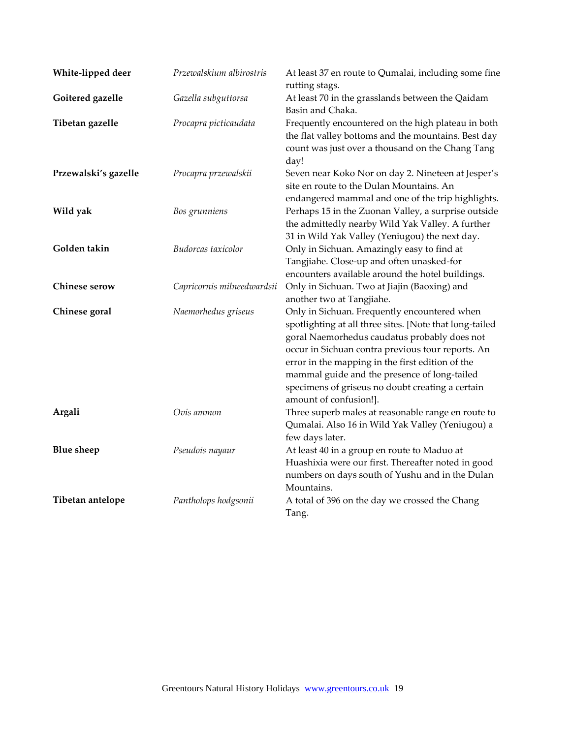| White-lipped deer    | Przewalskium albirostris   | At least 37 en route to Qumalai, including some fine<br>rutting stags.                                                                                                                                                                                                                                                                                                                         |
|----------------------|----------------------------|------------------------------------------------------------------------------------------------------------------------------------------------------------------------------------------------------------------------------------------------------------------------------------------------------------------------------------------------------------------------------------------------|
| Goitered gazelle     | Gazella subguttorsa        | At least 70 in the grasslands between the Qaidam<br>Basin and Chaka.                                                                                                                                                                                                                                                                                                                           |
| Tibetan gazelle      | Procapra picticaudata      | Frequently encountered on the high plateau in both<br>the flat valley bottoms and the mountains. Best day<br>count was just over a thousand on the Chang Tang<br>day!                                                                                                                                                                                                                          |
| Przewalski's gazelle | Procapra przewalskii       | Seven near Koko Nor on day 2. Nineteen at Jesper's<br>site en route to the Dulan Mountains. An<br>endangered mammal and one of the trip highlights.                                                                                                                                                                                                                                            |
| Wild yak             | Bos grunniens              | Perhaps 15 in the Zuonan Valley, a surprise outside<br>the admittedly nearby Wild Yak Valley. A further<br>31 in Wild Yak Valley (Yeniugou) the next day.                                                                                                                                                                                                                                      |
| Golden takin         | Budorcas taxicolor         | Only in Sichuan. Amazingly easy to find at<br>Tangjiahe. Close-up and often unasked-for<br>encounters available around the hotel buildings.                                                                                                                                                                                                                                                    |
| Chinese serow        | Capricornis milneedwardsii | Only in Sichuan. Two at Jiajin (Baoxing) and<br>another two at Tangjiahe.                                                                                                                                                                                                                                                                                                                      |
| Chinese goral        | Naemorhedus griseus        | Only in Sichuan. Frequently encountered when<br>spotlighting at all three sites. [Note that long-tailed<br>goral Naemorhedus caudatus probably does not<br>occur in Sichuan contra previous tour reports. An<br>error in the mapping in the first edition of the<br>mammal guide and the presence of long-tailed<br>specimens of griseus no doubt creating a certain<br>amount of confusion!]. |
| Argali               | Ovis ammon                 | Three superb males at reasonable range en route to<br>Qumalai. Also 16 in Wild Yak Valley (Yeniugou) a<br>few days later.                                                                                                                                                                                                                                                                      |
| <b>Blue</b> sheep    | Pseudois nayaur            | At least 40 in a group en route to Maduo at<br>Huashixia were our first. Thereafter noted in good<br>numbers on days south of Yushu and in the Dulan<br>Mountains.                                                                                                                                                                                                                             |
| Tibetan antelope     | Pantholops hodgsonii       | A total of 396 on the day we crossed the Chang<br>Tang.                                                                                                                                                                                                                                                                                                                                        |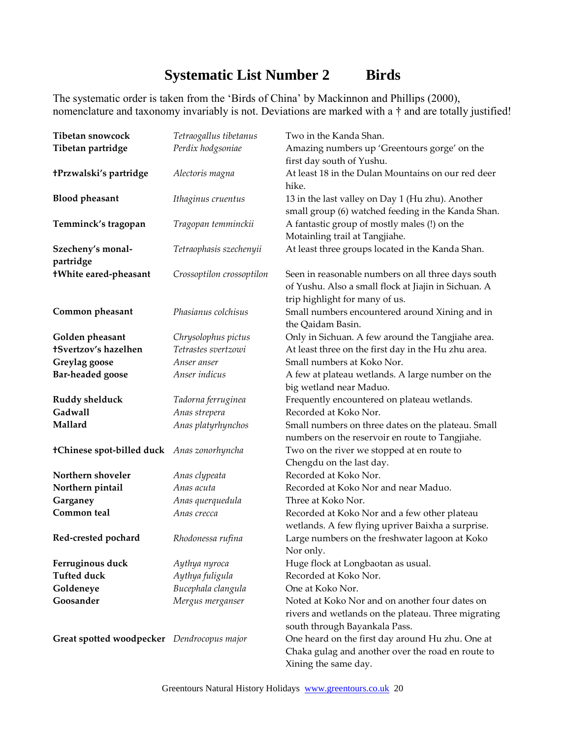## **Systematic List Number 2 Birds**

The systematic order is taken from the 'Birds of China' by Mackinnon and Phillips (2000), nomenclature and taxonomy invariably is not. Deviations are marked with a † and are totally justified!

| Tibetan snowcock                           | Tetraogallus tibetanus    | Two in the Kanda Shan.                                                                                |
|--------------------------------------------|---------------------------|-------------------------------------------------------------------------------------------------------|
| Tibetan partridge                          | Perdix hodgsoniae         | Amazing numbers up 'Greentours gorge' on the                                                          |
|                                            |                           | first day south of Yushu.                                                                             |
| +Przwalski's partridge                     | Alectoris magna           | At least 18 in the Dulan Mountains on our red deer                                                    |
|                                            |                           | hike.                                                                                                 |
| <b>Blood pheasant</b>                      | Ithaginus cruentus        | 13 in the last valley on Day 1 (Hu zhu). Another                                                      |
|                                            |                           | small group (6) watched feeding in the Kanda Shan.                                                    |
| Temminck's tragopan                        | Tragopan temminckii       | A fantastic group of mostly males (!) on the                                                          |
|                                            |                           | Motainling trail at Tangjiahe.                                                                        |
| Szecheny's monal-                          | Tetraophasis szechenyii   | At least three groups located in the Kanda Shan.                                                      |
| partridge                                  |                           |                                                                                                       |
| +White eared-pheasant                      | Crossoptilon crossoptilon | Seen in reasonable numbers on all three days south                                                    |
|                                            |                           | of Yushu. Also a small flock at Jiajin in Sichuan. A                                                  |
|                                            |                           | trip highlight for many of us.                                                                        |
| Common pheasant                            | Phasianus colchisus       | Small numbers encountered around Xining and in                                                        |
|                                            |                           | the Qaidam Basin.                                                                                     |
| Golden pheasant                            | Chrysolophus pictus       | Only in Sichuan. A few around the Tangjiahe area.                                                     |
| <b>+Svertzov's hazelhen</b>                | Tetrastes svertzowi       | At least three on the first day in the Hu zhu area.                                                   |
| Greylag goose                              | Anser anser               | Small numbers at Koko Nor.                                                                            |
| <b>Bar-headed goose</b>                    | Anser indicus             | A few at plateau wetlands. A large number on the                                                      |
|                                            |                           | big wetland near Maduo.                                                                               |
| Ruddy shelduck                             | Tadorna ferruginea        | Frequently encountered on plateau wetlands.                                                           |
| Gadwall                                    | Anas strepera             | Recorded at Koko Nor.                                                                                 |
| Mallard                                    | Anas platyrhynchos        | Small numbers on three dates on the plateau. Small<br>numbers on the reservoir en route to Tangjiahe. |
|                                            |                           |                                                                                                       |
| +Chinese spot-billed duck Anas zonorhyncha |                           | Two on the river we stopped at en route to<br>Chengdu on the last day.                                |
| Northern shoveler                          | Anas clypeata             | Recorded at Koko Nor.                                                                                 |
| Northern pintail                           | Anas acuta                | Recorded at Koko Nor and near Maduo.                                                                  |
| Garganey                                   | Anas querquedula          | Three at Koko Nor.                                                                                    |
| Common teal                                | Anas crecca               | Recorded at Koko Nor and a few other plateau                                                          |
|                                            |                           | wetlands. A few flying upriver Baixha a surprise.                                                     |
| Red-crested pochard                        | Rhodonessa rufina         | Large numbers on the freshwater lagoon at Koko                                                        |
|                                            |                           | Nor only.                                                                                             |
| Ferruginous duck                           | Aythya nyroca             | Huge flock at Longbaotan as usual.                                                                    |
| <b>Tufted duck</b>                         | Aythya fuligula           | Recorded at Koko Nor.                                                                                 |
| Goldeneye                                  | Bucephala clangula        | One at Koko Nor.                                                                                      |
| Goosander                                  | Mergus merganser          | Noted at Koko Nor and on another four dates on                                                        |
|                                            |                           | rivers and wetlands on the plateau. Three migrating                                                   |
|                                            |                           | south through Bayankala Pass.                                                                         |
| Great spotted woodpecker Dendrocopus major |                           | One heard on the first day around Hu zhu. One at                                                      |
|                                            |                           | Chaka gulag and another over the road en route to                                                     |
|                                            |                           | Xining the same day.                                                                                  |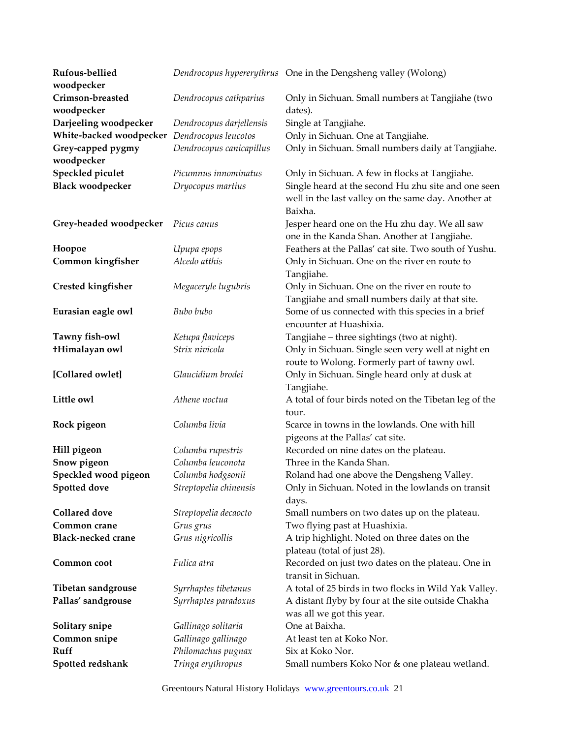| Rufous-bellied                               |                          | Dendrocopus hypererythrus One in the Dengsheng valley (Wolong)                                                        |
|----------------------------------------------|--------------------------|-----------------------------------------------------------------------------------------------------------------------|
| woodpecker                                   |                          |                                                                                                                       |
| Crimson-breasted                             | Dendrocopus cathparius   | Only in Sichuan. Small numbers at Tangjiahe (two                                                                      |
| woodpecker                                   |                          | dates).                                                                                                               |
| Darjeeling woodpecker                        | Dendrocopus darjellensis | Single at Tangjiahe.                                                                                                  |
| White-backed woodpecker Dendrocopus leucotos |                          | Only in Sichuan. One at Tangjiahe.                                                                                    |
| Grey-capped pygmy                            | Dendrocopus canicapillus | Only in Sichuan. Small numbers daily at Tangjiahe.                                                                    |
| woodpecker                                   |                          |                                                                                                                       |
| Speckled piculet                             | Picumnus innominatus     | Only in Sichuan. A few in flocks at Tangjiahe.                                                                        |
| <b>Black woodpecker</b>                      | Dryocopus martius        | Single heard at the second Hu zhu site and one seen<br>well in the last valley on the same day. Another at<br>Baixha. |
| Grey-headed woodpecker Picus canus           |                          | Jesper heard one on the Hu zhu day. We all saw<br>one in the Kanda Shan. Another at Tangjiahe.                        |
| Hoopoe                                       | Upupa epops              | Feathers at the Pallas' cat site. Two south of Yushu.                                                                 |
| Common kingfisher                            | Alcedo atthis            | Only in Sichuan. One on the river en route to                                                                         |
|                                              |                          | Tangjiahe.                                                                                                            |
| <b>Crested kingfisher</b>                    | Megaceryle lugubris      | Only in Sichuan. One on the river en route to                                                                         |
|                                              |                          | Tangjiahe and small numbers daily at that site.                                                                       |
| Eurasian eagle owl                           | Bubo bubo                | Some of us connected with this species in a brief<br>encounter at Huashixia.                                          |
| Tawny fish-owl                               | Ketupa flaviceps         | Tangjiahe - three sightings (two at night).                                                                           |
| <b>+Himalayan owl</b>                        | Strix nivicola           | Only in Sichuan. Single seen very well at night en<br>route to Wolong. Formerly part of tawny owl.                    |
| [Collared owlet]                             | Glaucidium brodei        | Only in Sichuan. Single heard only at dusk at<br>Tangjiahe.                                                           |
| Little owl                                   | Athene noctua            | A total of four birds noted on the Tibetan leg of the                                                                 |
|                                              |                          | tour.                                                                                                                 |
| Rock pigeon                                  | Columba livia            | Scarce in towns in the lowlands. One with hill                                                                        |
|                                              |                          | pigeons at the Pallas' cat site.                                                                                      |
| Hill pigeon                                  | Columba rupestris        | Recorded on nine dates on the plateau.                                                                                |
| Snow pigeon                                  | Columba leuconota        | Three in the Kanda Shan.                                                                                              |
| Speckled wood pigeon                         | Columba hodgsonii        | Roland had one above the Dengsheng Valley.                                                                            |
| <b>Spotted dove</b>                          | Streptopelia chinensis   | Only in Sichuan. Noted in the lowlands on transit<br>days.                                                            |
| <b>Collared</b> dove                         | Streptopelia decaocto    | Small numbers on two dates up on the plateau.                                                                         |
| Common crane                                 | Grus grus                | Two flying past at Huashixia.                                                                                         |
| <b>Black-necked crane</b>                    | Grus nigricollis         | A trip highlight. Noted on three dates on the                                                                         |
|                                              |                          | plateau (total of just 28).                                                                                           |
| Common coot                                  | Fulica atra              | Recorded on just two dates on the plateau. One in                                                                     |
|                                              |                          | transit in Sichuan.                                                                                                   |
| Tibetan sandgrouse                           | Syrrhaptes tibetanus     | A total of 25 birds in two flocks in Wild Yak Valley.                                                                 |
| Pallas' sandgrouse                           | Syrrhaptes paradoxus     | A distant flyby by four at the site outside Chakha<br>was all we got this year.                                       |
| Solitary snipe                               | Gallinago solitaria      | One at Baixha.                                                                                                        |
| Common snipe                                 | Gallinago gallinago      | At least ten at Koko Nor.                                                                                             |
| Ruff                                         | Philomachus pugnax       | Six at Koko Nor.                                                                                                      |
| Spotted redshank                             | Tringa erythropus        | Small numbers Koko Nor & one plateau wetland.                                                                         |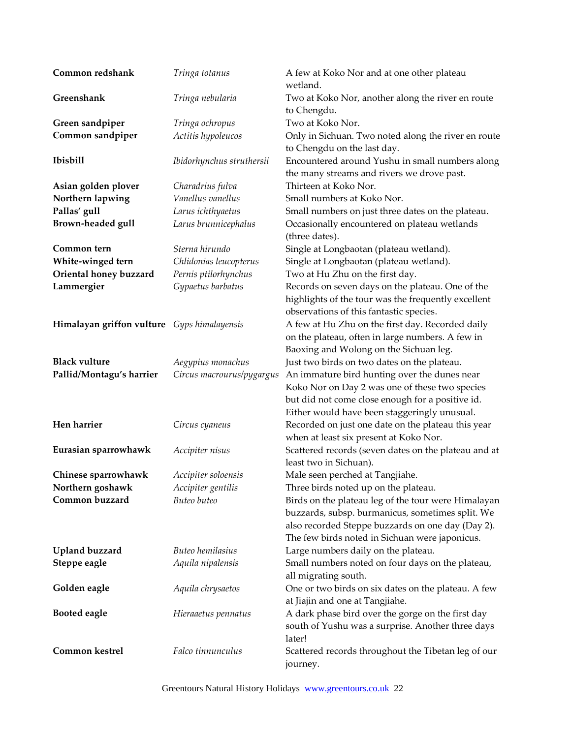| Common redshank                             | Tringa totanus            | A few at Koko Nor and at one other plateau<br>wetland.           |
|---------------------------------------------|---------------------------|------------------------------------------------------------------|
| Greenshank                                  | Tringa nebularia          | Two at Koko Nor, another along the river en route<br>to Chengdu. |
| Green sandpiper                             | Tringa ochropus           | Two at Koko Nor.                                                 |
| Common sandpiper                            | Actitis hypoleucos        | Only in Sichuan. Two noted along the river en route              |
|                                             |                           | to Chengdu on the last day.                                      |
| Ibisbill                                    | Ibidorhynchus struthersii | Encountered around Yushu in small numbers along                  |
|                                             |                           | the many streams and rivers we drove past.                       |
| Asian golden plover                         | Charadrius fulva          | Thirteen at Koko Nor.                                            |
| Northern lapwing                            | Vanellus vanellus         | Small numbers at Koko Nor.                                       |
| Pallas' gull                                | Larus ichthyaetus         | Small numbers on just three dates on the plateau.                |
| Brown-headed gull                           | Larus brunnicephalus      | Occasionally encountered on plateau wetlands                     |
|                                             |                           | (three dates).                                                   |
| Common tern                                 | Sterna hirundo            | Single at Longbaotan (plateau wetland).                          |
| White-winged tern                           | Chlidonias leucopterus    | Single at Longbaotan (plateau wetland).                          |
| Oriental honey buzzard                      | Pernis ptilorhynchus      | Two at Hu Zhu on the first day.                                  |
| Lammergier                                  | Gypaetus barbatus         | Records on seven days on the plateau. One of the                 |
|                                             |                           | highlights of the tour was the frequently excellent              |
|                                             |                           | observations of this fantastic species.                          |
| Himalayan griffon vulture Gyps himalayensis |                           | A few at Hu Zhu on the first day. Recorded daily                 |
|                                             |                           | on the plateau, often in large numbers. A few in                 |
|                                             |                           | Baoxing and Wolong on the Sichuan leg.                           |
| <b>Black vulture</b>                        | Aegypius monachus         | Just two birds on two dates on the plateau.                      |
| Pallid/Montagu's harrier                    | Circus macrourus/pygargus | An immature bird hunting over the dunes near                     |
|                                             |                           | Koko Nor on Day 2 was one of these two species                   |
|                                             |                           | but did not come close enough for a positive id.                 |
|                                             |                           | Either would have been staggeringly unusual.                     |
| Hen harrier                                 | Circus cyaneus            | Recorded on just one date on the plateau this year               |
|                                             |                           | when at least six present at Koko Nor.                           |
| Eurasian sparrowhawk                        | Accipiter nisus           | Scattered records (seven dates on the plateau and at             |
|                                             |                           | least two in Sichuan).                                           |
| Chinese sparrowhawk                         | Accipiter soloensis       | Male seen perched at Tangjiahe.                                  |
| Northern goshawk                            | Accipiter gentilis        | Three birds noted up on the plateau.                             |
| Common buzzard                              | Buteo buteo               | Birds on the plateau leg of the tour were Himalayan              |
|                                             |                           | buzzards, subsp. burmanicus, sometimes split. We                 |
|                                             |                           | also recorded Steppe buzzards on one day (Day 2).                |
|                                             |                           | The few birds noted in Sichuan were japonicus.                   |
| <b>Upland buzzard</b>                       | Buteo hemilasius          | Large numbers daily on the plateau.                              |
| Steppe eagle                                | Aquila nipalensis         | Small numbers noted on four days on the plateau,                 |
|                                             |                           | all migrating south.                                             |
| Golden eagle                                | Aquila chrysaetos         | One or two birds on six dates on the plateau. A few              |
|                                             |                           | at Jiajin and one at Tangjiahe.                                  |
| <b>Booted eagle</b>                         | Hieraaetus pennatus       | A dark phase bird over the gorge on the first day                |
|                                             |                           | south of Yushu was a surprise. Another three days                |
|                                             |                           | later!                                                           |
| Common kestrel                              | Falco tinnunculus         | Scattered records throughout the Tibetan leg of our<br>journey.  |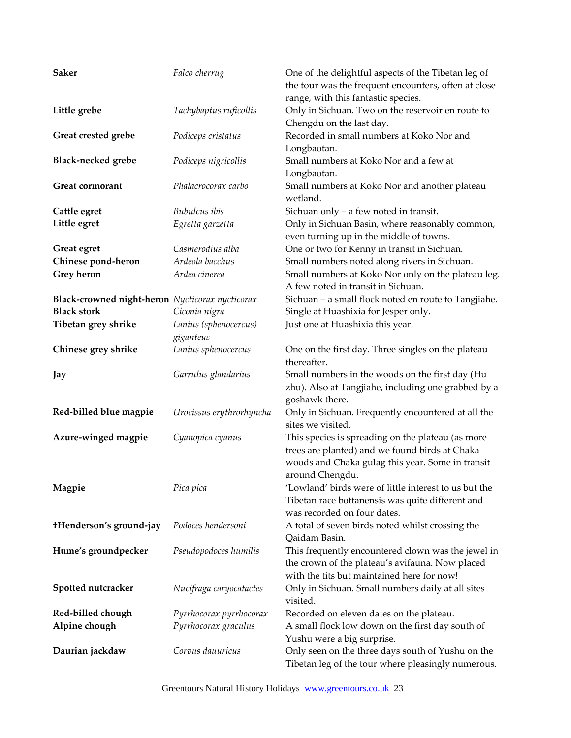| <b>Saker</b>                                    | Falco cherrug            | One of the delightful aspects of the Tibetan leg of<br>the tour was the frequent encounters, often at close |
|-------------------------------------------------|--------------------------|-------------------------------------------------------------------------------------------------------------|
|                                                 |                          | range, with this fantastic species.                                                                         |
| Little grebe                                    | Tachybaptus ruficollis   | Only in Sichuan. Two on the reservoir en route to                                                           |
|                                                 |                          | Chengdu on the last day.                                                                                    |
| Great crested grebe                             | Podiceps cristatus       | Recorded in small numbers at Koko Nor and                                                                   |
|                                                 |                          | Longbaotan.                                                                                                 |
| <b>Black-necked grebe</b>                       | Podiceps nigricollis     | Small numbers at Koko Nor and a few at                                                                      |
|                                                 |                          | Longbaotan.                                                                                                 |
| Great cormorant                                 | Phalacrocorax carbo      | Small numbers at Koko Nor and another plateau                                                               |
|                                                 |                          | wetland.                                                                                                    |
| Cattle egret                                    | Bubulcus ibis            | Sichuan only $-$ a few noted in transit.                                                                    |
| Little egret                                    | Egretta garzetta         | Only in Sichuan Basin, where reasonably common,                                                             |
|                                                 |                          | even turning up in the middle of towns.                                                                     |
| Great egret                                     | Casmerodius alba         | One or two for Kenny in transit in Sichuan.                                                                 |
| Chinese pond-heron                              | Ardeola bacchus          | Small numbers noted along rivers in Sichuan.                                                                |
| <b>Grey heron</b>                               | Ardea cinerea            | Small numbers at Koko Nor only on the plateau leg.                                                          |
|                                                 |                          | A few noted in transit in Sichuan.                                                                          |
| Black-crowned night-heron Nycticorax nycticorax |                          | Sichuan - a small flock noted en route to Tangjiahe.                                                        |
| <b>Black stork</b>                              | Ciconia nigra            | Single at Huashixia for Jesper only.                                                                        |
| Tibetan grey shrike                             | Lanius (sphenocercus)    | Just one at Huashixia this year.                                                                            |
|                                                 | giganteus                |                                                                                                             |
| Chinese grey shrike                             | Lanius sphenocercus      | One on the first day. Three singles on the plateau<br>thereafter.                                           |
| Jay                                             | Garrulus glandarius      | Small numbers in the woods on the first day (Hu                                                             |
|                                                 |                          | zhu). Also at Tangjiahe, including one grabbed by a                                                         |
|                                                 |                          | goshawk there.                                                                                              |
| Red-billed blue magpie                          | Urocissus erythrorhyncha | Only in Sichuan. Frequently encountered at all the                                                          |
|                                                 |                          | sites we visited.                                                                                           |
| Azure-winged magpie                             | Cyanopica cyanus         | This species is spreading on the plateau (as more                                                           |
|                                                 |                          | trees are planted) and we found birds at Chaka                                                              |
|                                                 |                          | woods and Chaka gulag this year. Some in transit                                                            |
|                                                 |                          | around Chengdu.                                                                                             |
| Magpie                                          | Pica pica                | 'Lowland' birds were of little interest to us but the                                                       |
|                                                 |                          | Tibetan race bottanensis was quite different and                                                            |
|                                                 |                          | was recorded on four dates.                                                                                 |
| +Henderson's ground-jay                         | Podoces hendersoni       | A total of seven birds noted whilst crossing the                                                            |
|                                                 |                          | Qaidam Basin.                                                                                               |
| Hume's groundpecker                             | Pseudopodoces humilis    | This frequently encountered clown was the jewel in                                                          |
|                                                 |                          | the crown of the plateau's avifauna. Now placed                                                             |
|                                                 |                          | with the tits but maintained here for now!                                                                  |
| Spotted nutcracker                              | Nucifraga caryocatactes  | Only in Sichuan. Small numbers daily at all sites<br>visited.                                               |
| Red-billed chough                               | Pyrrhocorax pyrrhocorax  | Recorded on eleven dates on the plateau.                                                                    |
| Alpine chough                                   | Pyrrhocorax graculus     | A small flock low down on the first day south of                                                            |
|                                                 |                          | Yushu were a big surprise.                                                                                  |
| Daurian jackdaw                                 |                          |                                                                                                             |
|                                                 | Corvus dauuricus         | Only seen on the three days south of Yushu on the                                                           |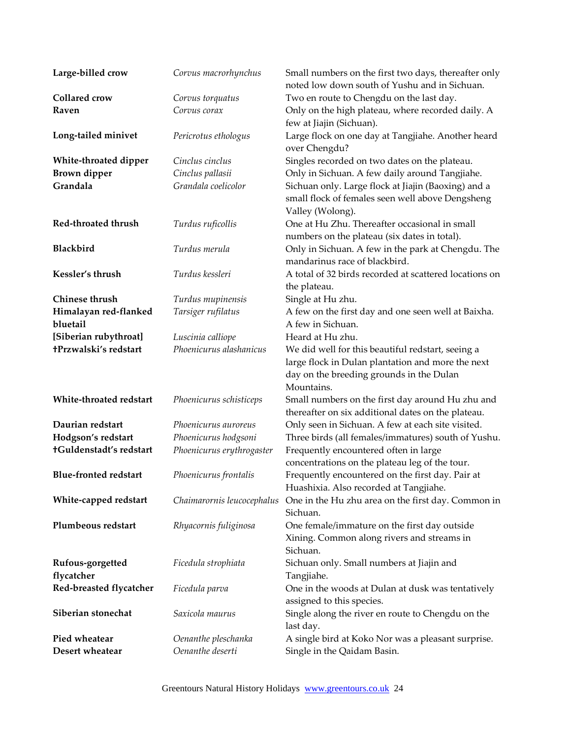| Large-billed crow                 | Corvus macrorhynchus                         | Small numbers on the first two days, thereafter only<br>noted low down south of Yushu and in Sichuan. |
|-----------------------------------|----------------------------------------------|-------------------------------------------------------------------------------------------------------|
| <b>Collared</b> crow              | Corvus torquatus                             | Two en route to Chengdu on the last day.                                                              |
| Raven                             | Corvus corax                                 | Only on the high plateau, where recorded daily. A                                                     |
|                                   |                                              | few at Jiajin (Sichuan).                                                                              |
| Long-tailed minivet               | Pericrotus ethologus                         | Large flock on one day at Tangjiahe. Another heard                                                    |
|                                   |                                              | over Chengdu?                                                                                         |
| White-throated dipper             | Cinclus cinclus                              | Singles recorded on two dates on the plateau.                                                         |
| <b>Brown</b> dipper               | Cinclus pallasii                             | Only in Sichuan. A few daily around Tangjiahe.                                                        |
| Grandala                          | Grandala coelicolor                          | Sichuan only. Large flock at Jiajin (Baoxing) and a                                                   |
|                                   |                                              | small flock of females seen well above Dengsheng                                                      |
|                                   |                                              | Valley (Wolong).                                                                                      |
| Red-throated thrush               | Turdus ruficollis                            | One at Hu Zhu. Thereafter occasional in small                                                         |
|                                   |                                              | numbers on the plateau (six dates in total).                                                          |
| Blackbird                         | Turdus merula                                | Only in Sichuan. A few in the park at Chengdu. The                                                    |
|                                   |                                              | mandarinus race of blackbird.                                                                         |
| Kessler's thrush                  | Turdus kessleri                              | A total of 32 birds recorded at scattered locations on                                                |
|                                   |                                              | the plateau.                                                                                          |
| Chinese thrush                    | Turdus mupinensis                            | Single at Hu zhu.                                                                                     |
| Himalayan red-flanked             | Tarsiger rufilatus                           | A few on the first day and one seen well at Baixha.                                                   |
| bluetail<br>[Siberian rubythroat] |                                              | A few in Sichuan.<br>Heard at Hu zhu.                                                                 |
| +Przwalski's redstart             | Luscinia calliope<br>Phoenicurus alashanicus | We did well for this beautiful redstart, seeing a                                                     |
|                                   |                                              | large flock in Dulan plantation and more the next                                                     |
|                                   |                                              | day on the breeding grounds in the Dulan                                                              |
|                                   |                                              | Mountains.                                                                                            |
| White-throated redstart           | Phoenicurus schisticeps                      | Small numbers on the first day around Hu zhu and                                                      |
|                                   |                                              | thereafter on six additional dates on the plateau.                                                    |
| Daurian redstart                  | Phoenicurus auroreus                         | Only seen in Sichuan. A few at each site visited.                                                     |
| Hodgson's redstart                | Phoenicurus hodgsoni                         | Three birds (all females/immatures) south of Yushu.                                                   |
| +Guldenstadt's redstart           | Phoenicurus erythrogaster                    | Frequently encountered often in large                                                                 |
|                                   |                                              | concentrations on the plateau leg of the tour.                                                        |
| <b>Blue-fronted redstart</b>      | Phoenicurus frontalis                        | Frequently encountered on the first day. Pair at                                                      |
|                                   |                                              | Huashixia. Also recorded at Tangjiahe.                                                                |
| White-capped redstart             | Chaimarornis leucocephalus                   | One in the Hu zhu area on the first day. Common in                                                    |
|                                   |                                              | Sichuan.                                                                                              |
| Plumbeous redstart                | Rhyacornis fuliginosa                        | One female/immature on the first day outside                                                          |
|                                   |                                              | Xining. Common along rivers and streams in                                                            |
|                                   |                                              | Sichuan.                                                                                              |
| Rufous-gorgetted<br>flycatcher    | Ficedula strophiata                          | Sichuan only. Small numbers at Jiajin and                                                             |
| Red-breasted flycatcher           | Ficedula parva                               | Tangjiahe.<br>One in the woods at Dulan at dusk was tentatively                                       |
|                                   |                                              | assigned to this species.                                                                             |
| Siberian stonechat                | Saxicola maurus                              | Single along the river en route to Chengdu on the                                                     |
|                                   |                                              | last day.                                                                                             |
| Pied wheatear                     | Oenanthe pleschanka                          | A single bird at Koko Nor was a pleasant surprise.                                                    |
| Desert wheatear                   | Oenanthe deserti                             | Single in the Qaidam Basin.                                                                           |
|                                   |                                              |                                                                                                       |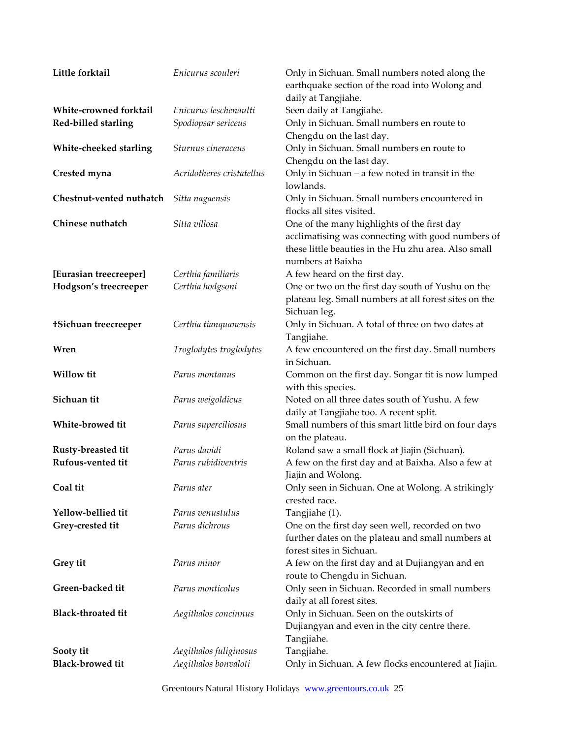| Little forktail             | Enicurus scouleri         | Only in Sichuan. Small numbers noted along the                                                                                   |
|-----------------------------|---------------------------|----------------------------------------------------------------------------------------------------------------------------------|
|                             |                           | earthquake section of the road into Wolong and                                                                                   |
|                             |                           | daily at Tangjiahe.                                                                                                              |
| White-crowned forktail      | Enicurus leschenaulti     | Seen daily at Tangjiahe.                                                                                                         |
| Red-billed starling         | Spodiopsar sericeus       | Only in Sichuan. Small numbers en route to                                                                                       |
|                             |                           | Chengdu on the last day.                                                                                                         |
| White-cheeked starling      | Sturnus cineraceus        | Only in Sichuan. Small numbers en route to                                                                                       |
|                             |                           | Chengdu on the last day.                                                                                                         |
| Crested myna                | Acridotheres cristatellus | Only in Sichuan - a few noted in transit in the<br>lowlands.                                                                     |
| Chestnut-vented nuthatch    | Sitta nagaensis           | Only in Sichuan. Small numbers encountered in<br>flocks all sites visited.                                                       |
| Chinese nuthatch            | Sitta villosa             | One of the many highlights of the first day                                                                                      |
|                             |                           | acclimatising was connecting with good numbers of                                                                                |
|                             |                           | these little beauties in the Hu zhu area. Also small                                                                             |
|                             |                           | numbers at Baixha                                                                                                                |
| [Eurasian treecreeper]      | Certhia familiaris        | A few heard on the first day.                                                                                                    |
| Hodgson's treecreeper       | Certhia hodgsoni          | One or two on the first day south of Yushu on the                                                                                |
|                             |                           | plateau leg. Small numbers at all forest sites on the<br>Sichuan leg.                                                            |
| <b>+Sichuan treecreeper</b> | Certhia tianquanensis     | Only in Sichuan. A total of three on two dates at                                                                                |
|                             |                           | Tangjiahe.                                                                                                                       |
| Wren                        | Troglodytes troglodytes   | A few encountered on the first day. Small numbers<br>in Sichuan.                                                                 |
| Willow tit                  | Parus montanus            | Common on the first day. Songar tit is now lumped<br>with this species.                                                          |
| Sichuan tit                 | Parus weigoldicus         | Noted on all three dates south of Yushu. A few                                                                                   |
|                             |                           | daily at Tangjiahe too. A recent split.                                                                                          |
| White-browed tit            | Parus superciliosus       | Small numbers of this smart little bird on four days                                                                             |
|                             |                           | on the plateau.                                                                                                                  |
| Rusty-breasted tit          | Parus davidi              | Roland saw a small flock at Jiajin (Sichuan).                                                                                    |
| Rufous-vented tit           | Parus rubidiventris       | A few on the first day and at Baixha. Also a few at<br>Jiajin and Wolong.                                                        |
| Coal tit                    | Parus ater                | Only seen in Sichuan. One at Wolong. A strikingly<br>crested race.                                                               |
| Yellow-bellied tit          | Parus venustulus          | Tangjiahe (1).                                                                                                                   |
| Grey-crested tit            | Parus dichrous            | One on the first day seen well, recorded on two<br>further dates on the plateau and small numbers at<br>forest sites in Sichuan. |
| Grey tit                    | Parus minor               | A few on the first day and at Dujiangyan and en<br>route to Chengdu in Sichuan.                                                  |
| Green-backed tit            | Parus monticolus          | Only seen in Sichuan. Recorded in small numbers<br>daily at all forest sites.                                                    |
| <b>Black-throated tit</b>   | Aegithalos concinnus      | Only in Sichuan. Seen on the outskirts of                                                                                        |
|                             |                           | Dujiangyan and even in the city centre there.<br>Tangjiahe.                                                                      |
| Sooty tit                   | Aegithalos fuliginosus    | Tangjiahe.                                                                                                                       |
| <b>Black-browed tit</b>     | Aegithalos bonvaloti      | Only in Sichuan. A few flocks encountered at Jiajin.                                                                             |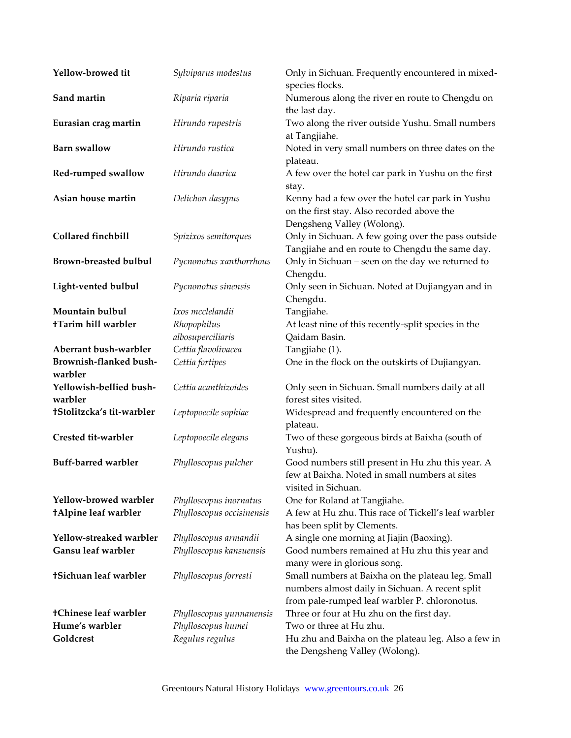| Yellow-browed tit                  | Sylviparus modestus       | Only in Sichuan. Frequently encountered in mixed-<br>species flocks.                                                                                  |
|------------------------------------|---------------------------|-------------------------------------------------------------------------------------------------------------------------------------------------------|
| Sand martin                        | Riparia riparia           | Numerous along the river en route to Chengdu on<br>the last day.                                                                                      |
| Eurasian crag martin               | Hirundo rupestris         | Two along the river outside Yushu. Small numbers<br>at Tangjiahe.                                                                                     |
| <b>Barn</b> swallow                | Hirundo rustica           | Noted in very small numbers on three dates on the<br>plateau.                                                                                         |
| Red-rumped swallow                 | Hirundo daurica           | A few over the hotel car park in Yushu on the first<br>stay.                                                                                          |
| Asian house martin                 | Delichon dasypus          | Kenny had a few over the hotel car park in Yushu<br>on the first stay. Also recorded above the<br>Dengsheng Valley (Wolong).                          |
| Collared finchbill                 | Spizixos semitorques      | Only in Sichuan. A few going over the pass outside<br>Tangjiahe and en route to Chengdu the same day.                                                 |
| <b>Brown-breasted bulbul</b>       | Pycnonotus xanthorrhous   | Only in Sichuan - seen on the day we returned to<br>Chengdu.                                                                                          |
| Light-vented bulbul                | Pycnonotus sinensis       | Only seen in Sichuan. Noted at Dujiangyan and in<br>Chengdu.                                                                                          |
| Mountain bulbul                    | Ixos mcclelandii          | Tangjiahe.                                                                                                                                            |
| <b>+Tarim hill warbler</b>         | Rhopophilus               | At least nine of this recently-split species in the                                                                                                   |
|                                    | albosuperciliaris         | Qaidam Basin.                                                                                                                                         |
| Aberrant bush-warbler              | Cettia flavolivacea       | Tangjiahe (1).                                                                                                                                        |
| Brownish-flanked bush-<br>warbler  | Cettia fortipes           | One in the flock on the outskirts of Dujiangyan.                                                                                                      |
| Yellowish-bellied bush-<br>warbler | Cettia acanthizoides      | Only seen in Sichuan. Small numbers daily at all<br>forest sites visited.                                                                             |
| †Stolitzcka's tit-warbler          | Leptopoecile sophiae      | Widespread and frequently encountered on the<br>plateau.                                                                                              |
| Crested tit-warbler                | Leptopoecile elegans      | Two of these gorgeous birds at Baixha (south of<br>Yushu).                                                                                            |
| <b>Buff-barred warbler</b>         | Phylloscopus pulcher      | Good numbers still present in Hu zhu this year. A<br>few at Baixha. Noted in small numbers at sites<br>visited in Sichuan.                            |
| Yellow-browed warbler              | Phylloscopus inornatus    | One for Roland at Tangjiahe.                                                                                                                          |
| +Alpine leaf warbler               | Phylloscopus occisinensis | A few at Hu zhu. This race of Tickell's leaf warbler<br>has been split by Clements.                                                                   |
| Yellow-streaked warbler            | Phylloscopus armandii     | A single one morning at Jiajin (Baoxing).                                                                                                             |
| Gansu leaf warbler                 | Phylloscopus kansuensis   | Good numbers remained at Hu zhu this year and<br>many were in glorious song.                                                                          |
| †Sichuan leaf warbler              | Phylloscopus forresti     | Small numbers at Baixha on the plateau leg. Small<br>numbers almost daily in Sichuan. A recent split<br>from pale-rumped leaf warbler P. chloronotus. |
| +Chinese leaf warbler              | Phylloscopus yunnanensis  | Three or four at Hu zhu on the first day.                                                                                                             |
| Hume's warbler                     | Phylloscopus humei        | Two or three at Hu zhu.                                                                                                                               |
| Goldcrest                          | Regulus regulus           | Hu zhu and Baixha on the plateau leg. Also a few in<br>the Dengsheng Valley (Wolong).                                                                 |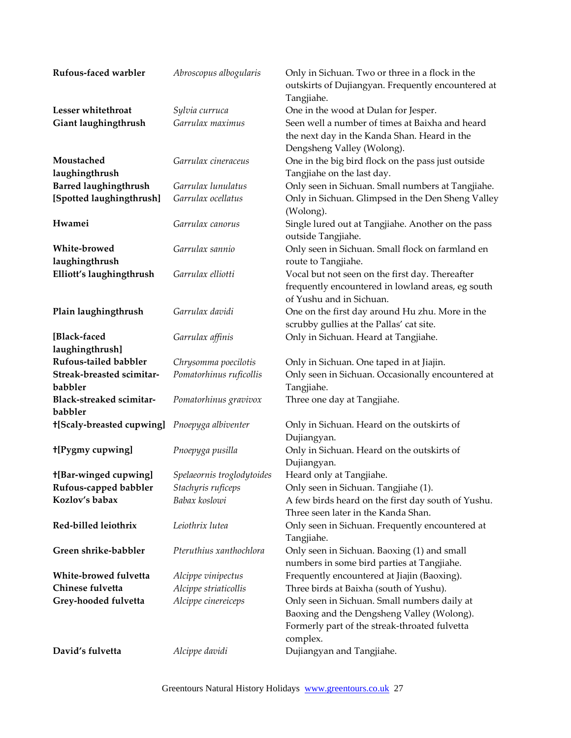| Rufous-faced warbler                | Abroscopus albogularis     | Only in Sichuan. Two or three in a flock in the                               |
|-------------------------------------|----------------------------|-------------------------------------------------------------------------------|
|                                     |                            | outskirts of Dujiangyan. Frequently encountered at                            |
|                                     |                            | Tangjiahe.                                                                    |
| Lesser whitethroat                  | Sylvia curruca             | One in the wood at Dulan for Jesper.                                          |
| Giant laughingthrush                | Garrulax maximus           | Seen well a number of times at Baixha and heard                               |
|                                     |                            | the next day in the Kanda Shan. Heard in the                                  |
|                                     |                            | Dengsheng Valley (Wolong).                                                    |
| Moustached                          | Garrulax cineraceus        | One in the big bird flock on the pass just outside                            |
| laughingthrush                      |                            | Tangjiahe on the last day.                                                    |
| <b>Barred laughingthrush</b>        | Garrulax lunulatus         | Only seen in Sichuan. Small numbers at Tangjiahe.                             |
| [Spotted laughingthrush]            | Garrulax ocellatus         | Only in Sichuan. Glimpsed in the Den Sheng Valley<br>(Wolong).                |
| Hwamei                              | Garrulax canorus           | Single lured out at Tangjiahe. Another on the pass<br>outside Tangjiahe.      |
| White-browed<br>laughingthrush      | Garrulax sannio            | Only seen in Sichuan. Small flock on farmland en<br>route to Tangjiahe.       |
| Elliott's laughingthrush            | Garrulax elliotti          | Vocal but not seen on the first day. Thereafter                               |
|                                     |                            | frequently encountered in lowland areas, eg south<br>of Yushu and in Sichuan. |
| Plain laughingthrush                | Garrulax davidi            | One on the first day around Hu zhu. More in the                               |
|                                     |                            | scrubby gullies at the Pallas' cat site.                                      |
| [Black-faced                        | Garrulax affinis           | Only in Sichuan. Heard at Tangjiahe.                                          |
| laughingthrush]                     |                            |                                                                               |
| <b>Rufous-tailed babbler</b>        | Chrysomma poecilotis       | Only in Sichuan. One taped in at Jiajin.                                      |
| Streak-breasted scimitar-           | Pomatorhinus ruficollis    | Only seen in Sichuan. Occasionally encountered at                             |
| babbler                             |                            | Tangjiahe.                                                                    |
| Black-streaked scimitar-<br>babbler | Pomatorhinus gravivox      | Three one day at Tangjiahe.                                                   |
| +[Scaly-breasted cupwing]           | Pnoepyga albiventer        | Only in Sichuan. Heard on the outskirts of                                    |
|                                     |                            | Dujiangyan.                                                                   |
| +[Pygmy cupwing]                    | Pnoepyga pusilla           | Only in Sichuan. Heard on the outskirts of                                    |
|                                     |                            | Dujiangyan.                                                                   |
| <b>+[Bar-winged cupwing]</b>        | Spelaeornis troglodytoides | Heard only at Tangjiahe.                                                      |
| Rufous-capped babbler               | Stachyris ruficeps         | Only seen in Sichuan. Tangjiahe (1).                                          |
| Kozlov's babax                      | Babax koslowi              | A few birds heard on the first day south of Yushu.                            |
|                                     |                            | Three seen later in the Kanda Shan.                                           |
| Red-billed leiothrix                | Leiothrix lutea            | Only seen in Sichuan. Frequently encountered at                               |
|                                     |                            | Tangjiahe.                                                                    |
| Green shrike-babbler                | Pteruthius xanthochlora    | Only seen in Sichuan. Baoxing (1) and small                                   |
|                                     |                            | numbers in some bird parties at Tangjiahe.                                    |
| White-browed fulvetta               | Alcippe vinipectus         | Frequently encountered at Jiajin (Baoxing).                                   |
| Chinese fulvetta                    | Alcippe striaticollis      | Three birds at Baixha (south of Yushu).                                       |
| Grey-hooded fulvetta                | Alcippe cinereiceps        | Only seen in Sichuan. Small numbers daily at                                  |
|                                     |                            | Baoxing and the Dengsheng Valley (Wolong).                                    |
|                                     |                            | Formerly part of the streak-throated fulvetta                                 |
|                                     |                            | complex.                                                                      |
| David's fulvetta                    | Alcippe davidi             | Dujiangyan and Tangjiahe.                                                     |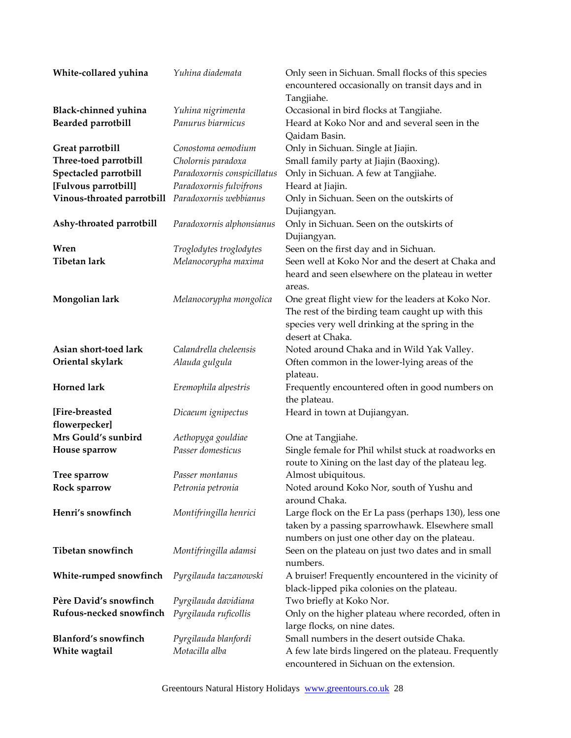| White-collared yuhina      | Yuhina diademata            | Only seen in Sichuan. Small flocks of this species<br>encountered occasionally on transit days and in<br>Tangjiahe.                                                           |
|----------------------------|-----------------------------|-------------------------------------------------------------------------------------------------------------------------------------------------------------------------------|
| Black-chinned yuhina       | Yuhina nigrimenta           | Occasional in bird flocks at Tangjiahe.                                                                                                                                       |
| <b>Bearded parrotbill</b>  | Panurus biarmicus           | Heard at Koko Nor and and several seen in the                                                                                                                                 |
|                            |                             | Qaidam Basin.                                                                                                                                                                 |
| Great parrotbill           | Conostoma oemodium          | Only in Sichuan. Single at Jiajin.                                                                                                                                            |
| Three-toed parrotbill      | Cholornis paradoxa          | Small family party at Jiajin (Baoxing).                                                                                                                                       |
| Spectacled parrotbill      | Paradoxornis conspicillatus | Only in Sichuan. A few at Tangjiahe.                                                                                                                                          |
| [Fulvous parrotbill]       | Paradoxornis fulvifrons     | Heard at Jiajin.                                                                                                                                                              |
| Vinous-throated parrotbill | Paradoxornis webbianus      | Only in Sichuan. Seen on the outskirts of<br>Dujiangyan.                                                                                                                      |
| Ashy-throated parrotbill   | Paradoxornis alphonsianus   | Only in Sichuan. Seen on the outskirts of<br>Dujiangyan.                                                                                                                      |
| Wren                       | Troglodytes troglodytes     | Seen on the first day and in Sichuan.                                                                                                                                         |
| <b>Tibetan lark</b>        | Melanocorypha maxima        | Seen well at Koko Nor and the desert at Chaka and                                                                                                                             |
|                            |                             | heard and seen elsewhere on the plateau in wetter<br>areas.                                                                                                                   |
| Mongolian lark             | Melanocorypha mongolica     | One great flight view for the leaders at Koko Nor.<br>The rest of the birding team caught up with this<br>species very well drinking at the spring in the<br>desert at Chaka. |
| Asian short-toed lark      | Calandrella cheleensis      | Noted around Chaka and in Wild Yak Valley.                                                                                                                                    |
| Oriental skylark           | Alauda gulgula              | Often common in the lower-lying areas of the<br>plateau.                                                                                                                      |
| <b>Horned lark</b>         | Eremophila alpestris        | Frequently encountered often in good numbers on<br>the plateau.                                                                                                               |
| [Fire-breasted             | Dicaeum ignipectus          | Heard in town at Dujiangyan.                                                                                                                                                  |
| flowerpecker]              |                             |                                                                                                                                                                               |
| Mrs Gould's sunbird        | Aethopyga gouldiae          | One at Tangjiahe.                                                                                                                                                             |
| House sparrow              | Passer domesticus           | Single female for Phil whilst stuck at roadworks en<br>route to Xining on the last day of the plateau leg.                                                                    |
| <b>Tree sparrow</b>        | Passer montanus             | Almost ubiquitous.                                                                                                                                                            |
| Rock sparrow               | Petronia petronia           | Noted around Koko Nor, south of Yushu and<br>around Chaka.                                                                                                                    |
| Henri's snowfinch          | Montifringilla henrici      | Large flock on the Er La pass (perhaps 130), less one<br>taken by a passing sparrowhawk. Elsewhere small<br>numbers on just one other day on the plateau.                     |
| Tibetan snowfinch          | Montifringilla adamsi       | Seen on the plateau on just two dates and in small<br>numbers.                                                                                                                |
| White-rumped snowfinch     | Pyrgilauda taczanowski      | A bruiser! Frequently encountered in the vicinity of<br>black-lipped pika colonies on the plateau.                                                                            |
| Père David's snowfinch     | Pyrgilauda davidiana        | Two briefly at Koko Nor.                                                                                                                                                      |
| Rufous-necked snowfinch    | Pyrgilauda ruficollis       | Only on the higher plateau where recorded, often in<br>large flocks, on nine dates.                                                                                           |
| Blanford's snowfinch       | Pyrgilauda blanfordi        | Small numbers in the desert outside Chaka.                                                                                                                                    |
| White wagtail              | Motacilla alba              | A few late birds lingered on the plateau. Frequently<br>encountered in Sichuan on the extension.                                                                              |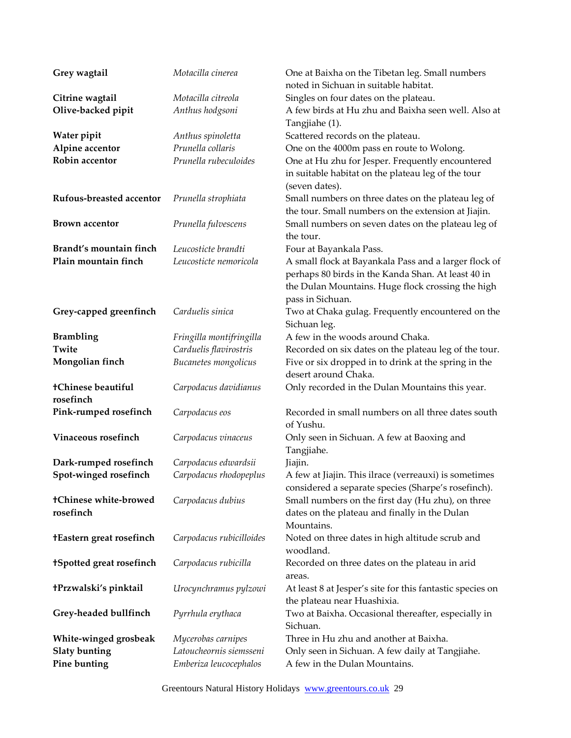| Grey wagtail                    | Motacilla cinerea                             | One at Baixha on the Tibetan leg. Small numbers<br>noted in Sichuan in suitable habitat. |
|---------------------------------|-----------------------------------------------|------------------------------------------------------------------------------------------|
| Citrine wagtail                 | Motacilla citreola                            | Singles on four dates on the plateau.                                                    |
| Olive-backed pipit              | Anthus hodgsoni                               | A few birds at Hu zhu and Baixha seen well. Also at                                      |
|                                 |                                               | Tangjiahe (1).                                                                           |
| Water pipit                     | Anthus spinoletta                             | Scattered records on the plateau.                                                        |
| Alpine accentor                 | Prunella collaris                             | One on the 4000m pass en route to Wolong.                                                |
| Robin accentor                  | Prunella rubeculoides                         | One at Hu zhu for Jesper. Frequently encountered                                         |
|                                 |                                               | in suitable habitat on the plateau leg of the tour                                       |
|                                 |                                               | (seven dates).                                                                           |
| Rufous-breasted accentor        | Prunella strophiata                           | Small numbers on three dates on the plateau leg of                                       |
|                                 |                                               | the tour. Small numbers on the extension at Jiajin.                                      |
| <b>Brown accentor</b>           | Prunella fulvescens                           | Small numbers on seven dates on the plateau leg of                                       |
|                                 |                                               | the tour.                                                                                |
| Brandt's mountain finch         | Leucosticte brandti                           | Four at Bayankala Pass.                                                                  |
| Plain mountain finch            | Leucosticte nemoricola                        | A small flock at Bayankala Pass and a larger flock of                                    |
|                                 |                                               | perhaps 80 birds in the Kanda Shan. At least 40 in                                       |
|                                 |                                               | the Dulan Mountains. Huge flock crossing the high                                        |
|                                 |                                               | pass in Sichuan.                                                                         |
| Grey-capped greenfinch          | Carduelis sinica                              | Two at Chaka gulag. Frequently encountered on the                                        |
|                                 |                                               | Sichuan leg.                                                                             |
| <b>Brambling</b>                | Fringilla montifringilla                      | A few in the woods around Chaka.                                                         |
| Twite                           | Carduelis flavirostris                        | Recorded on six dates on the plateau leg of the tour.                                    |
| Mongolian finch                 | Bucanetes mongolicus                          | Five or six dropped in to drink at the spring in the<br>desert around Chaka.             |
| tChinese beautiful              | Carpodacus davidianus                         | Only recorded in the Dulan Mountains this year.                                          |
| rosefinch                       |                                               |                                                                                          |
| Pink-rumped rosefinch           | Carpodacus eos                                | Recorded in small numbers on all three dates south                                       |
|                                 |                                               | of Yushu.                                                                                |
| Vinaceous rosefinch             | Carpodacus vinaceus                           | Only seen in Sichuan. A few at Baoxing and                                               |
|                                 |                                               | Tangjiahe.                                                                               |
| Dark-rumped rosefinch           | Carpodacus edwardsii                          | Jiajin.                                                                                  |
| Spot-winged rosefinch           | Carpodacus rhodopeplus                        | A few at Jiajin. This ilrace (verreauxi) is sometimes                                    |
|                                 |                                               | considered a separate species (Sharpe's rosefinch).                                      |
| tChinese white-browed           | Carpodacus dubius                             | Small numbers on the first day (Hu zhu), on three                                        |
| rosefinch                       |                                               | dates on the plateau and finally in the Dulan                                            |
|                                 |                                               | Mountains.                                                                               |
| <b>+Eastern great rosefinch</b> | Carpodacus rubicilloides                      | Noted on three dates in high altitude scrub and                                          |
|                                 |                                               | woodland.                                                                                |
| <b>tSpotted great rosefinch</b> | Carpodacus rubicilla                          | Recorded on three dates on the plateau in arid                                           |
|                                 |                                               | areas.                                                                                   |
| <b>+Przwalski's pinktail</b>    | Urocynchramus pylzowi                         | At least 8 at Jesper's site for this fantastic species on                                |
|                                 |                                               | the plateau near Huashixia.                                                              |
| Grey-headed bullfinch           | Pyrrhula erythaca                             | Two at Baixha. Occasional thereafter, especially in<br>Sichuan.                          |
| White-winged grosbeak           |                                               | Three in Hu zhu and another at Baixha.                                                   |
| <b>Slaty bunting</b>            | Mycerobas carnipes<br>Latoucheornis siemsseni | Only seen in Sichuan. A few daily at Tangjiahe.                                          |
| Pine bunting                    | Emberiza leucocephalos                        | A few in the Dulan Mountains.                                                            |
|                                 |                                               |                                                                                          |